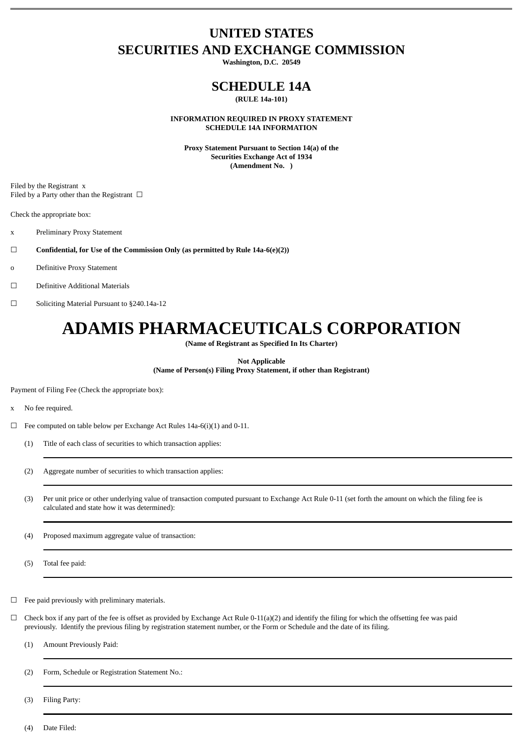# **UNITED STATES SECURITIES AND EXCHANGE COMMISSION**

**Washington, D.C. 20549**

# **SCHEDULE 14A**

**(RULE 14a-101)**

**INFORMATION REQUIRED IN PROXY STATEMENT SCHEDULE 14A INFORMATION**

**Proxy Statement Pursuant to Section 14(a) of the Securities Exchange Act of 1934 (Amendment No. )**

Filed by the Registrant x Filed by a Party other than the Registrant  $\Box$ 

Check the appropriate box:

- x Preliminary Proxy Statement
- ☐ **Confidential, for Use of the Commission Only (as permitted by Rule 14a-6(e)(2))**
- o Definitive Proxy Statement
- ☐ Definitive Additional Materials
- ☐ Soliciting Material Pursuant to §240.14a-12

# **ADAMIS PHARMACEUTICALS CORPORATION**

**(Name of Registrant as Specified In Its Charter)**

**Not Applicable (Name of Person(s) Filing Proxy Statement, if other than Registrant)**

Payment of Filing Fee (Check the appropriate box):

- x No fee required.
- $\Box$  Fee computed on table below per Exchange Act Rules 14a-6(i)(1) and 0-11.
	- (1) Title of each class of securities to which transaction applies:
	- (2) Aggregate number of securities to which transaction applies:
	- (3) Per unit price or other underlying value of transaction computed pursuant to Exchange Act Rule 0-11 (set forth the amount on which the filing fee is calculated and state how it was determined):
	- (4) Proposed maximum aggregate value of transaction:
	- (5) Total fee paid:

 $\Box$  Fee paid previously with preliminary materials.

- $\Box$  Check box if any part of the fee is offset as provided by Exchange Act Rule 0-11(a)(2) and identify the filing for which the offsetting fee was paid previously. Identify the previous filing by registration statement number, or the Form or Schedule and the date of its filing.
	- (1) Amount Previously Paid:
	- (2) Form, Schedule or Registration Statement No.:

(3) Filing Party:

(4) Date Filed: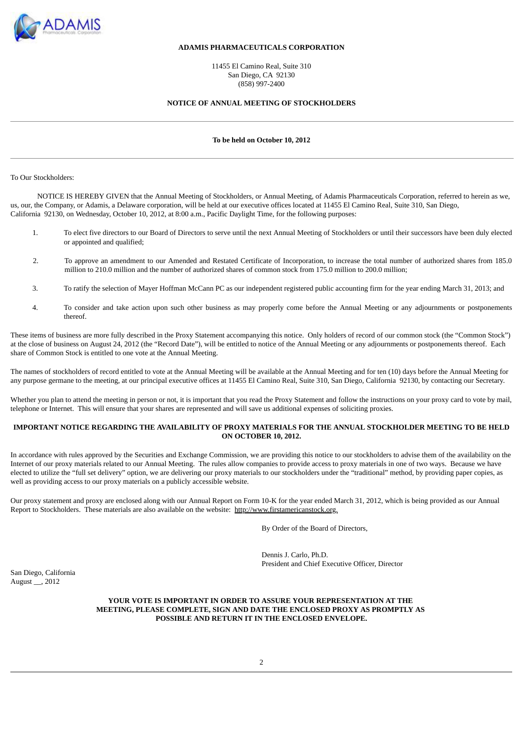

## **ADAMIS PHARMACEUTICALS CORPORATION**

11455 El Camino Real, Suite 310 San Diego, CA 92130 (858) 997-2400

#### **NOTICE OF ANNUAL MEETING OF STOCKHOLDERS**

#### **To be held on October 10, 2012**

To Our Stockholders:

NOTICE IS HEREBY GIVEN that the Annual Meeting of Stockholders, or Annual Meeting, of Adamis Pharmaceuticals Corporation, referred to herein as we, us, our, the Company, or Adamis, a Delaware corporation, will be held at our executive offices located at 11455 El Camino Real, Suite 310, San Diego, California 92130, on Wednesday, October 10, 2012, at 8:00 a.m., Pacific Daylight Time, for the following purposes:

- 1. To elect five directors to our Board of Directors to serve until the next Annual Meeting of Stockholders or until their successors have been duly elected or appointed and qualified;
- 2. To approve an amendment to our Amended and Restated Certificate of Incorporation, to increase the total number of authorized shares from 185.0 million to 210.0 million and the number of authorized shares of common stock from 175.0 million to 200.0 million;
- 3. To ratify the selection of Mayer Hoffman McCann PC as our independent registered public accounting firm for the year ending March 31, 2013; and
- 4. To consider and take action upon such other business as may properly come before the Annual Meeting or any adjournments or postponements thereof.

These items of business are more fully described in the Proxy Statement accompanying this notice. Only holders of record of our common stock (the "Common Stock") at the close of business on August 24, 2012 (the "Record Date"), will be entitled to notice of the Annual Meeting or any adjournments or postponements thereof. Each share of Common Stock is entitled to one vote at the Annual Meeting.

The names of stockholders of record entitled to vote at the Annual Meeting will be available at the Annual Meeting and for ten (10) days before the Annual Meeting for any purpose germane to the meeting, at our principal executive offices at 11455 El Camino Real, Suite 310, San Diego, California 92130, by contacting our Secretary.

Whether you plan to attend the meeting in person or not, it is important that you read the Proxy Statement and follow the instructions on your proxy card to vote by mail, telephone or Internet. This will ensure that your shares are represented and will save us additional expenses of soliciting proxies.

## **IMPORTANT NOTICE REGARDING THE AVAILABILITY OF PROXY MATERIALS FOR THE ANNUAL STOCKHOLDER MEETING TO BE HELD ON OCTOBER 10, 2012.**

In accordance with rules approved by the Securities and Exchange Commission, we are providing this notice to our stockholders to advise them of the availability on the Internet of our proxy materials related to our Annual Meeting. The rules allow companies to provide access to proxy materials in one of two ways. Because we have elected to utilize the "full set delivery" option, we are delivering our proxy materials to our stockholders under the "traditional" method, by providing paper copies, as well as providing access to our proxy materials on a publicly accessible website.

Our proxy statement and proxy are enclosed along with our Annual Report on Form 10-K for the year ended March 31, 2012, which is being provided as our Annual Report to Stockholders. These materials are also available on the website: http://www.firstamericanstock.org.

By Order of the Board of Directors,

Dennis J. Carlo, Ph.D. President and Chief Executive Officer, Director

San Diego, California August \_\_, 2012

## **YOUR VOTE IS IMPORTANT IN ORDER TO ASSURE YOUR REPRESENTATION AT THE MEETING, PLEASE COMPLETE, SIGN AND DATE THE ENCLOSED PROXY AS PROMPTLY AS POSSIBLE AND RETURN IT IN THE ENCLOSED ENVELOPE.**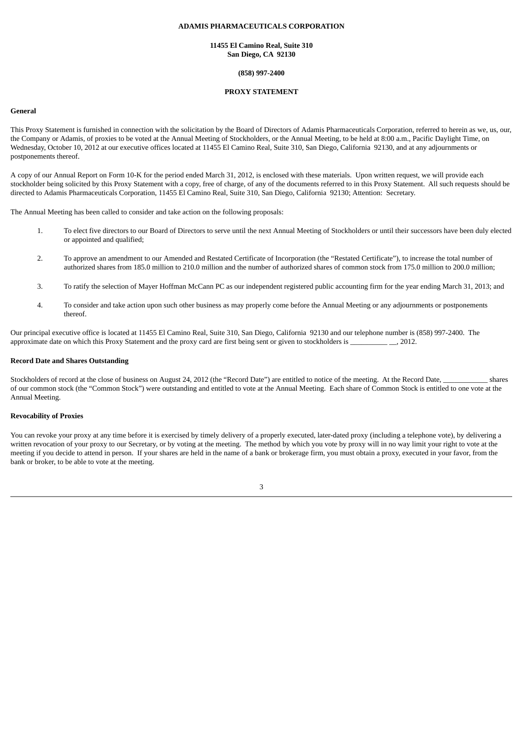## **ADAMIS PHARMACEUTICALS CORPORATION**

#### **11455 El Camino Real, Suite 310 San Diego, CA 92130**

#### **(858) 997-2400**

## **PROXY STATEMENT**

## **General**

This Proxy Statement is furnished in connection with the solicitation by the Board of Directors of Adamis Pharmaceuticals Corporation, referred to herein as we, us, our, the Company or Adamis, of proxies to be voted at the Annual Meeting of Stockholders, or the Annual Meeting, to be held at 8:00 a.m., Pacific Daylight Time, on Wednesday, October 10, 2012 at our executive offices located at 11455 El Camino Real, Suite 310, San Diego, California 92130, and at any adjournments or postponements thereof.

A copy of our Annual Report on Form 10-K for the period ended March 31, 2012, is enclosed with these materials. Upon written request, we will provide each stockholder being solicited by this Proxy Statement with a copy, free of charge, of any of the documents referred to in this Proxy Statement. All such requests should be directed to Adamis Pharmaceuticals Corporation, 11455 El Camino Real, Suite 310, San Diego, California 92130; Attention: Secretary.

The Annual Meeting has been called to consider and take action on the following proposals:

- 1. To elect five directors to our Board of Directors to serve until the next Annual Meeting of Stockholders or until their successors have been duly elected or appointed and qualified;
- 2. To approve an amendment to our Amended and Restated Certificate of Incorporation (the "Restated Certificate"), to increase the total number of authorized shares from 185.0 million to 210.0 million and the number of authorized shares of common stock from 175.0 million to 200.0 million;
- 3. To ratify the selection of Mayer Hoffman McCann PC as our independent registered public accounting firm for the year ending March 31, 2013; and
- 4. To consider and take action upon such other business as may properly come before the Annual Meeting or any adjournments or postponements thereof.

Our principal executive office is located at 11455 El Camino Real, Suite 310, San Diego, California 92130 and our telephone number is (858) 997-2400. The approximate date on which this Proxy Statement and the proxy card are first being sent or given to stockholders is \_\_\_\_\_\_\_\_\_\_ \_\_, 2012.

## **Record Date and Shares Outstanding**

Stockholders of record at the close of business on August 24, 2012 (the "Record Date") are entitled to notice of the meeting. At the Record Date, shares of our common stock (the "Common Stock") were outstanding and entitled to vote at the Annual Meeting. Each share of Common Stock is entitled to one vote at the Annual Meeting.

#### **Revocability of Proxies**

You can revoke your proxy at any time before it is exercised by timely delivery of a properly executed, later-dated proxy (including a telephone vote), by delivering a written revocation of your proxy to our Secretary, or by voting at the meeting. The method by which you vote by proxy will in no way limit your right to vote at the meeting if you decide to attend in person. If your shares are held in the name of a bank or brokerage firm, you must obtain a proxy, executed in your favor, from the bank or broker, to be able to vote at the meeting.

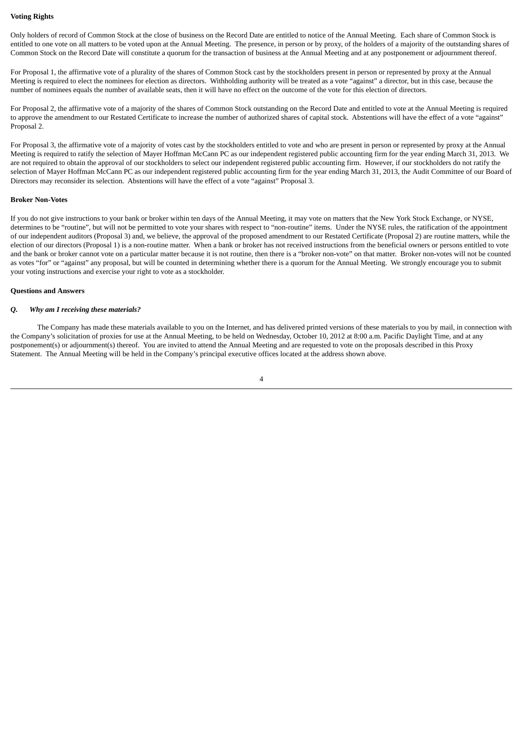#### **Voting Rights**

Only holders of record of Common Stock at the close of business on the Record Date are entitled to notice of the Annual Meeting. Each share of Common Stock is entitled to one vote on all matters to be voted upon at the Annual Meeting. The presence, in person or by proxy, of the holders of a majority of the outstanding shares of Common Stock on the Record Date will constitute a quorum for the transaction of business at the Annual Meeting and at any postponement or adjournment thereof.

For Proposal 1, the affirmative vote of a plurality of the shares of Common Stock cast by the stockholders present in person or represented by proxy at the Annual Meeting is required to elect the nominees for election as directors. Withholding authority will be treated as a vote "against" a director, but in this case, because the number of nominees equals the number of available seats, then it will have no effect on the outcome of the vote for this election of directors.

For Proposal 2, the affirmative vote of a majority of the shares of Common Stock outstanding on the Record Date and entitled to vote at the Annual Meeting is required to approve the amendment to our Restated Certificate to increase the number of authorized shares of capital stock. Abstentions will have the effect of a vote "against" Proposal 2.

For Proposal 3, the affirmative vote of a majority of votes cast by the stockholders entitled to vote and who are present in person or represented by proxy at the Annual Meeting is required to ratify the selection of Mayer Hoffman McCann PC as our independent registered public accounting firm for the year ending March 31, 2013. We are not required to obtain the approval of our stockholders to select our independent registered public accounting firm. However, if our stockholders do not ratify the selection of Mayer Hoffman McCann PC as our independent registered public accounting firm for the year ending March 31, 2013, the Audit Committee of our Board of Directors may reconsider its selection. Abstentions will have the effect of a vote "against" Proposal 3.

#### **Broker Non-Votes**

If you do not give instructions to your bank or broker within ten days of the Annual Meeting, it may vote on matters that the New York Stock Exchange, or NYSE, determines to be "routine", but will not be permitted to vote your shares with respect to "non-routine" items. Under the NYSE rules, the ratification of the appointment of our independent auditors (Proposal 3) and, we believe, the approval of the proposed amendment to our Restated Certificate (Proposal 2) are routine matters, while the election of our directors (Proposal 1) is a non-routine matter. When a bank or broker has not received instructions from the beneficial owners or persons entitled to vote and the bank or broker cannot vote on a particular matter because it is not routine, then there is a "broker non-vote" on that matter. Broker non-votes will not be counted as votes "for" or "against" any proposal, but will be counted in determining whether there is a quorum for the Annual Meeting. We strongly encourage you to submit your voting instructions and exercise your right to vote as a stockholder.

#### **Questions and Answers**

#### *Q. Why am I receiving these materials?*

The Company has made these materials available to you on the Internet, and has delivered printed versions of these materials to you by mail, in connection with the Company's solicitation of proxies for use at the Annual Meeting, to be held on Wednesday, October 10, 2012 at 8:00 a.m. Pacific Daylight Time, and at any postponement(s) or adjournment(s) thereof. You are invited to attend the Annual Meeting and are requested to vote on the proposals described in this Proxy Statement. The Annual Meeting will be held in the Company's principal executive offices located at the address shown above.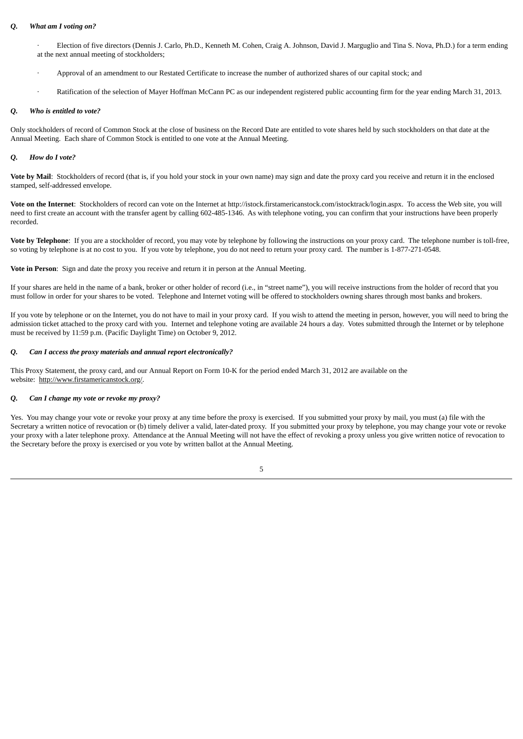#### *Q. What am I voting on?*

· Election of five directors (Dennis J. Carlo, Ph.D., Kenneth M. Cohen, Craig A. Johnson, David J. Marguglio and Tina S. Nova, Ph.D.) for a term ending at the next annual meeting of stockholders;

- · Approval of an amendment to our Restated Certificate to increase the number of authorized shares of our capital stock; and
- · Ratification of the selection of Mayer Hoffman McCann PC as our independent registered public accounting firm for the year ending March 31, 2013.

## *Q. Who is entitled to vote?*

Only stockholders of record of Common Stock at the close of business on the Record Date are entitled to vote shares held by such stockholders on that date at the Annual Meeting. Each share of Common Stock is entitled to one vote at the Annual Meeting.

## *Q. How do I vote?*

**Vote by Mail**: Stockholders of record (that is, if you hold your stock in your own name) may sign and date the proxy card you receive and return it in the enclosed stamped, self-addressed envelope.

**Vote on the Internet**: Stockholders of record can vote on the Internet at http://istock.firstamericanstock.com/istocktrack/login.aspx. To access the Web site, you will need to first create an account with the transfer agent by calling 602-485-1346. As with telephone voting, you can confirm that your instructions have been properly recorded.

**Vote by Telephone**: If you are a stockholder of record, you may vote by telephone by following the instructions on your proxy card. The telephone number is toll-free, so voting by telephone is at no cost to you. If you vote by telephone, you do not need to return your proxy card. The number is 1-877-271-0548.

**Vote in Person**: Sign and date the proxy you receive and return it in person at the Annual Meeting.

If your shares are held in the name of a bank, broker or other holder of record (i.e., in "street name"), you will receive instructions from the holder of record that you must follow in order for your shares to be voted. Telephone and Internet voting will be offered to stockholders owning shares through most banks and brokers.

If you vote by telephone or on the Internet, you do not have to mail in your proxy card. If you wish to attend the meeting in person, however, you will need to bring the admission ticket attached to the proxy card with you. Internet and telephone voting are available 24 hours a day. Votes submitted through the Internet or by telephone must be received by 11:59 p.m. (Pacific Daylight Time) on October 9, 2012.

## *Q. Can I access the proxy materials and annual report electronically?*

This Proxy Statement, the proxy card, and our Annual Report on Form 10-K for the period ended March 31, 2012 are available on the website: http://www.firstamericanstock.org/.

## *Q. Can I change my vote or revoke my proxy?*

Yes. You may change your vote or revoke your proxy at any time before the proxy is exercised. If you submitted your proxy by mail, you must (a) file with the Secretary a written notice of revocation or (b) timely deliver a valid, later-dated proxy. If you submitted your proxy by telephone, you may change your vote or revoke your proxy with a later telephone proxy. Attendance at the Annual Meeting will not have the effect of revoking a proxy unless you give written notice of revocation to the Secretary before the proxy is exercised or you vote by written ballot at the Annual Meeting.

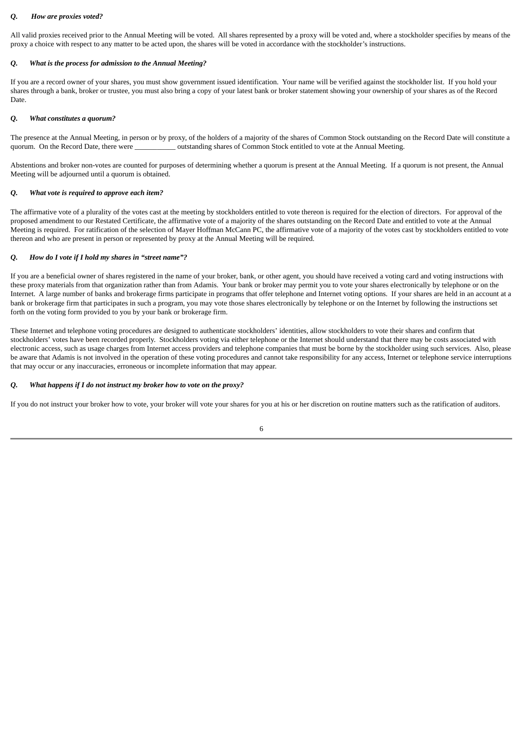## *Q. How are proxies voted?*

All valid proxies received prior to the Annual Meeting will be voted. All shares represented by a proxy will be voted and, where a stockholder specifies by means of the proxy a choice with respect to any matter to be acted upon, the shares will be voted in accordance with the stockholder's instructions.

## *Q. What is the process for admission to the Annual Meeting?*

If you are a record owner of your shares, you must show government issued identification. Your name will be verified against the stockholder list. If you hold your shares through a bank, broker or trustee, you must also bring a copy of your latest bank or broker statement showing your ownership of your shares as of the Record Date.

## *Q. What constitutes a quorum?*

The presence at the Annual Meeting, in person or by proxy, of the holders of a majority of the shares of Common Stock outstanding on the Record Date will constitute a quorum. On the Record Date, there were \_\_\_\_\_\_\_\_\_\_\_ outstanding shares of Common Stock entitled to vote at the Annual Meeting.

Abstentions and broker non-votes are counted for purposes of determining whether a quorum is present at the Annual Meeting. If a quorum is not present, the Annual Meeting will be adjourned until a quorum is obtained.

## *Q. What vote is required to approve each item?*

The affirmative vote of a plurality of the votes cast at the meeting by stockholders entitled to vote thereon is required for the election of directors. For approval of the proposed amendment to our Restated Certificate, the affirmative vote of a majority of the shares outstanding on the Record Date and entitled to vote at the Annual Meeting is required. For ratification of the selection of Mayer Hoffman McCann PC, the affirmative vote of a majority of the votes cast by stockholders entitled to vote thereon and who are present in person or represented by proxy at the Annual Meeting will be required.

## *Q. How do I vote if I hold my shares in "street name"?*

If you are a beneficial owner of shares registered in the name of your broker, bank, or other agent, you should have received a voting card and voting instructions with these proxy materials from that organization rather than from Adamis. Your bank or broker may permit you to vote your shares electronically by telephone or on the Internet. A large number of banks and brokerage firms participate in programs that offer telephone and Internet voting options. If your shares are held in an account at a bank or brokerage firm that participates in such a program, you may vote those shares electronically by telephone or on the Internet by following the instructions set forth on the voting form provided to you by your bank or brokerage firm.

These Internet and telephone voting procedures are designed to authenticate stockholders' identities, allow stockholders to vote their shares and confirm that stockholders' votes have been recorded properly. Stockholders voting via either telephone or the Internet should understand that there may be costs associated with electronic access, such as usage charges from Internet access providers and telephone companies that must be borne by the stockholder using such services. Also, please be aware that Adamis is not involved in the operation of these voting procedures and cannot take responsibility for any access, Internet or telephone service interruptions that may occur or any inaccuracies, erroneous or incomplete information that may appear.

## *Q. What happens if I do not instruct my broker how to vote on the proxy?*

If you do not instruct your broker how to vote, your broker will vote your shares for you at his or her discretion on routine matters such as the ratification of auditors.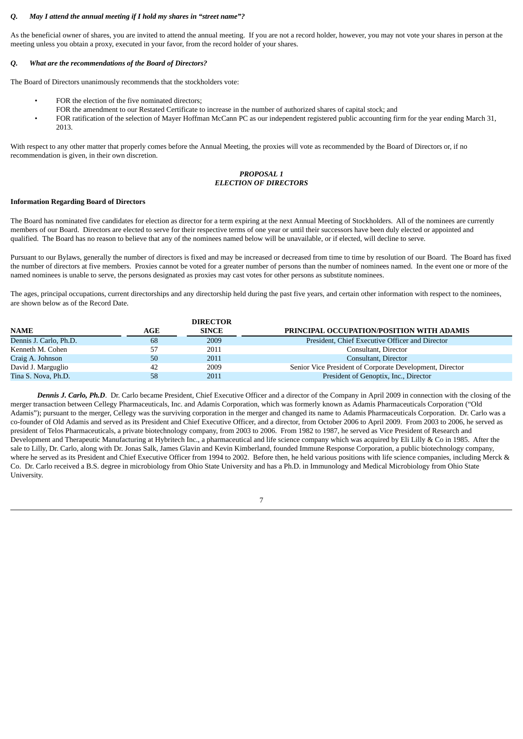#### *Q. May I attend the annual meeting if I hold my shares in "street name"?*

As the beneficial owner of shares, you are invited to attend the annual meeting. If you are not a record holder, however, you may not vote your shares in person at the meeting unless you obtain a proxy, executed in your favor, from the record holder of your shares.

## *Q. What are the recommendations of the Board of Directors?*

The Board of Directors unanimously recommends that the stockholders vote:

- FOR the election of the five nominated directors;
- FOR the amendment to our Restated Certificate to increase in the number of authorized shares of capital stock; and
- FOR ratification of the selection of Mayer Hoffman McCann PC as our independent registered public accounting firm for the year ending March 31, 2013.

With respect to any other matter that properly comes before the Annual Meeting, the proxies will vote as recommended by the Board of Directors or, if no recommendation is given, in their own discretion.

## *PROPOSAL 1 ELECTION OF DIRECTORS*

## **Information Regarding Board of Directors**

The Board has nominated five candidates for election as director for a term expiring at the next Annual Meeting of Stockholders. All of the nominees are currently members of our Board. Directors are elected to serve for their respective terms of one year or until their successors have been duly elected or appointed and qualified. The Board has no reason to believe that any of the nominees named below will be unavailable, or if elected, will decline to serve.

Pursuant to our Bylaws, generally the number of directors is fixed and may be increased or decreased from time to time by resolution of our Board. The Board has fixed the number of directors at five members. Proxies cannot be voted for a greater number of persons than the number of nominees named. In the event one or more of the named nominees is unable to serve, the persons designated as proxies may cast votes for other persons as substitute nominees.

The ages, principal occupations, current directorships and any directorship held during the past five years, and certain other information with respect to the nominees, are shown below as of the Record Date.

|                        |     | <b>DIRECTOR</b> |                                                          |
|------------------------|-----|-----------------|----------------------------------------------------------|
| <b>NAME</b>            | AGE | <b>SINCE</b>    | PRINCIPAL OCCUPATION/POSITION WITH ADAMIS                |
| Dennis J. Carlo, Ph.D. | 68  | 2009            | President, Chief Executive Officer and Director          |
| Kenneth M. Cohen       | 57  | 2011            | Consultant, Director                                     |
| Craig A. Johnson       | 50  | 2011            | Consultant, Director                                     |
| David J. Marguglio     | 42  | 2009            | Senior Vice President of Corporate Development, Director |
| Tina S. Nova, Ph.D.    | 58  | 2011            | President of Genoptix, Inc., Director                    |

*Dennis J. Carlo, Ph.D*. Dr. Carlo became President, Chief Executive Officer and a director of the Company in April 2009 in connection with the closing of the merger transaction between Cellegy Pharmaceuticals, Inc. and Adamis Corporation, which was formerly known as Adamis Pharmaceuticals Corporation ("Old Adamis"); pursuant to the merger, Cellegy was the surviving corporation in the merger and changed its name to Adamis Pharmaceuticals Corporation. Dr. Carlo was a co-founder of Old Adamis and served as its President and Chief Executive Officer, and a director, from October 2006 to April 2009. From 2003 to 2006, he served as president of Telos Pharmaceuticals, a private biotechnology company, from 2003 to 2006. From 1982 to 1987, he served as Vice President of Research and Development and Therapeutic Manufacturing at Hybritech Inc., a pharmaceutical and life science company which was acquired by Eli Lilly & Co in 1985. After the sale to Lilly, Dr. Carlo, along with Dr. Jonas Salk, James Glavin and Kevin Kimberland, founded Immune Response Corporation, a public biotechnology company, where he served as its President and Chief Executive Officer from 1994 to 2002. Before then, he held various positions with life science companies, including Merck & Co. Dr. Carlo received a B.S. degree in microbiology from Ohio State University and has a Ph.D. in Immunology and Medical Microbiology from Ohio State University.

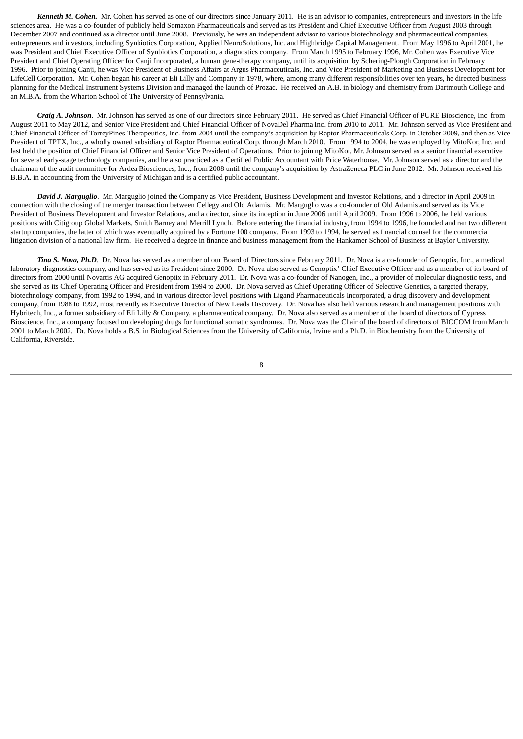*Kenneth M. Cohen.* Mr. Cohen has served as one of our directors since January 2011. He is an advisor to companies, entrepreneurs and investors in the life sciences area. He was a co-founder of publicly held Somaxon Pharmaceuticals and served as its President and Chief Executive Officer from August 2003 through December 2007 and continued as a director until June 2008. Previously, he was an independent advisor to various biotechnology and pharmaceutical companies, entrepreneurs and investors, including Synbiotics Corporation, Applied NeuroSolutions, Inc. and Highbridge Capital Management. From May 1996 to April 2001, he was President and Chief Executive Officer of Synbiotics Corporation, a diagnostics company. From March 1995 to February 1996, Mr. Cohen was Executive Vice President and Chief Operating Officer for Canji Incorporated, a human gene-therapy company, until its acquisition by Schering-Plough Corporation in February 1996. Prior to joining Canji, he was Vice President of Business Affairs at Argus Pharmaceuticals, Inc. and Vice President of Marketing and Business Development for LifeCell Corporation. Mr. Cohen began his career at Eli Lilly and Company in 1978, where, among many different responsibilities over ten years, he directed business planning for the Medical Instrument Systems Division and managed the launch of Prozac. He received an A.B. in biology and chemistry from Dartmouth College and an M.B.A. from the Wharton School of The University of Pennsylvania.

*Craig A. Johnson*. Mr. Johnson has served as one of our directors since February 2011. He served as Chief Financial Officer of PURE Bioscience, Inc. from August 2011 to May 2012, and Senior Vice President and Chief Financial Officer of NovaDel Pharma Inc. from 2010 to 2011. Mr. Johnson served as Vice President and Chief Financial Officer of TorreyPines Therapeutics, Inc. from 2004 until the company's acquisition by Raptor Pharmaceuticals Corp. in October 2009, and then as Vice President of TPTX, Inc., a wholly owned subsidiary of Raptor Pharmaceutical Corp. through March 2010. From 1994 to 2004, he was employed by MitoKor, Inc. and last held the position of Chief Financial Officer and Senior Vice President of Operations. Prior to joining MitoKor, Mr. Johnson served as a senior financial executive for several early-stage technology companies, and he also practiced as a Certified Public Accountant with Price Waterhouse. Mr. Johnson served as a director and the chairman of the audit committee for Ardea Biosciences, Inc., from 2008 until the company's acquisition by AstraZeneca PLC in June 2012. Mr. Johnson received his B.B.A. in accounting from the University of Michigan and is a certified public accountant.

*David J. Marguglio*. Mr. Marguglio joined the Company as Vice President, Business Development and Investor Relations, and a director in April 2009 in connection with the closing of the merger transaction between Cellegy and Old Adamis. Mr. Marguglio was a co-founder of Old Adamis and served as its Vice President of Business Development and Investor Relations, and a director, since its inception in June 2006 until April 2009. From 1996 to 2006, he held various positions with Citigroup Global Markets, Smith Barney and Merrill Lynch. Before entering the financial industry, from 1994 to 1996, he founded and ran two different startup companies, the latter of which was eventually acquired by a Fortune 100 company. From 1993 to 1994, he served as financial counsel for the commercial litigation division of a national law firm. He received a degree in finance and business management from the Hankamer School of Business at Baylor University.

*Tina S. Nova, Ph.D*. Dr. Nova has served as a member of our Board of Directors since February 2011. Dr. Nova is a co-founder of Genoptix, Inc., a medical laboratory diagnostics company, and has served as its President since 2000. Dr. Nova also served as Genoptix' Chief Executive Officer and as a member of its board of directors from 2000 until Novartis AG acquired Genoptix in February 2011. Dr. Nova was a co-founder of Nanogen, Inc., a provider of molecular diagnostic tests, and she served as its Chief Operating Officer and President from 1994 to 2000. Dr. Nova served as Chief Operating Officer of Selective Genetics, a targeted therapy, biotechnology company, from 1992 to 1994, and in various director-level positions with Ligand Pharmaceuticals Incorporated, a drug discovery and development company, from 1988 to 1992, most recently as Executive Director of New Leads Discovery. Dr. Nova has also held various research and management positions with Hybritech, Inc., a former subsidiary of Eli Lilly & Company, a pharmaceutical company. Dr. Nova also served as a member of the board of directors of Cypress Bioscience, Inc., a company focused on developing drugs for functional somatic syndromes. Dr. Nova was the Chair of the board of directors of BIOCOM from March 2001 to March 2002. Dr. Nova holds a B.S. in Biological Sciences from the University of California, Irvine and a Ph.D. in Biochemistry from the University of California, Riverside.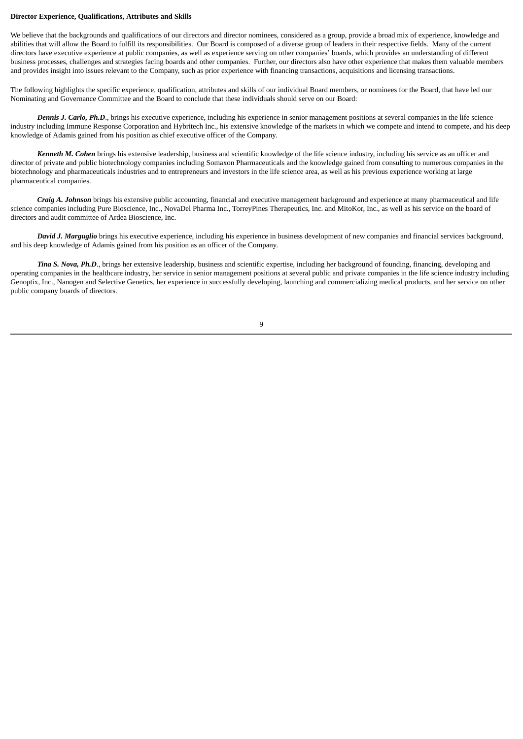#### **Director Experience, Qualifications, Attributes and Skills**

We believe that the backgrounds and qualifications of our directors and director nominees, considered as a group, provide a broad mix of experience, knowledge and abilities that will allow the Board to fulfill its responsibilities. Our Board is composed of a diverse group of leaders in their respective fields. Many of the current directors have executive experience at public companies, as well as experience serving on other companies' boards, which provides an understanding of different business processes, challenges and strategies facing boards and other companies. Further, our directors also have other experience that makes them valuable members and provides insight into issues relevant to the Company, such as prior experience with financing transactions, acquisitions and licensing transactions.

The following highlights the specific experience, qualification, attributes and skills of our individual Board members, or nominees for the Board, that have led our Nominating and Governance Committee and the Board to conclude that these individuals should serve on our Board:

*Dennis J. Carlo, Ph.D*., brings his executive experience, including his experience in senior management positions at several companies in the life science industry including Immune Response Corporation and Hybritech Inc., his extensive knowledge of the markets in which we compete and intend to compete, and his deep knowledge of Adamis gained from his position as chief executive officer of the Company.

*Kenneth M. Cohen* brings his extensive leadership, business and scientific knowledge of the life science industry, including his service as an officer and director of private and public biotechnology companies including Somaxon Pharmaceuticals and the knowledge gained from consulting to numerous companies in the biotechnology and pharmaceuticals industries and to entrepreneurs and investors in the life science area, as well as his previous experience working at large pharmaceutical companies.

*Craig A. Johnson* brings his extensive public accounting, financial and executive management background and experience at many pharmaceutical and life science companies including Pure Bioscience, Inc., NovaDel Pharma Inc., TorreyPines Therapeutics, Inc. and MitoKor, Inc., as well as his service on the board of directors and audit committee of Ardea Bioscience, Inc.

*David J. Marguglio* brings his executive experience, including his experience in business development of new companies and financial services background, and his deep knowledge of Adamis gained from his position as an officer of the Company.

*Tina S. Nova, Ph.D*., brings her extensive leadership, business and scientific expertise, including her background of founding, financing, developing and operating companies in the healthcare industry, her service in senior management positions at several public and private companies in the life science industry including Genoptix, Inc., Nanogen and Selective Genetics, her experience in successfully developing, launching and commercializing medical products, and her service on other public company boards of directors.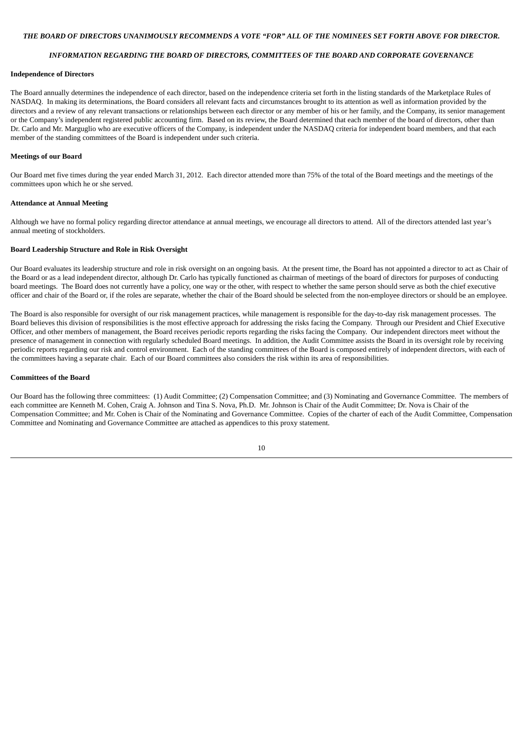#### THE BOARD OF DIRECTORS UNANIMOUSLY RECOMMENDS A VOTE "FOR" ALL OF THE NOMINEES SET FORTH ABOVE FOR DIRECTOR.

## *INFORMATION REGARDING THE BOARD OF DIRECTORS, COMMITTEES OF THE BOARD AND CORPORATE GOVERNANCE*

#### **Independence of Directors**

The Board annually determines the independence of each director, based on the independence criteria set forth in the listing standards of the Marketplace Rules of NASDAQ. In making its determinations, the Board considers all relevant facts and circumstances brought to its attention as well as information provided by the directors and a review of any relevant transactions or relationships between each director or any member of his or her family, and the Company, its senior management or the Company's independent registered public accounting firm. Based on its review, the Board determined that each member of the board of directors, other than Dr. Carlo and Mr. Marguglio who are executive officers of the Company, is independent under the NASDAQ criteria for independent board members, and that each member of the standing committees of the Board is independent under such criteria.

#### **Meetings of our Board**

Our Board met five times during the year ended March 31, 2012. Each director attended more than 75% of the total of the Board meetings and the meetings of the committees upon which he or she served.

#### **Attendance at Annual Meeting**

Although we have no formal policy regarding director attendance at annual meetings, we encourage all directors to attend. All of the directors attended last year's annual meeting of stockholders.

#### **Board Leadership Structure and Role in Risk Oversight**

Our Board evaluates its leadership structure and role in risk oversight on an ongoing basis. At the present time, the Board has not appointed a director to act as Chair of the Board or as a lead independent director, although Dr. Carlo has typically functioned as chairman of meetings of the board of directors for purposes of conducting board meetings. The Board does not currently have a policy, one way or the other, with respect to whether the same person should serve as both the chief executive officer and chair of the Board or, if the roles are separate, whether the chair of the Board should be selected from the non-employee directors or should be an employee.

The Board is also responsible for oversight of our risk management practices, while management is responsible for the day-to-day risk management processes. The Board believes this division of responsibilities is the most effective approach for addressing the risks facing the Company. Through our President and Chief Executive Officer, and other members of management, the Board receives periodic reports regarding the risks facing the Company. Our independent directors meet without the presence of management in connection with regularly scheduled Board meetings. In addition, the Audit Committee assists the Board in its oversight role by receiving periodic reports regarding our risk and control environment. Each of the standing committees of the Board is composed entirely of independent directors, with each of the committees having a separate chair. Each of our Board committees also considers the risk within its area of responsibilities.

#### **Committees of the Board**

Our Board has the following three committees: (1) Audit Committee; (2) Compensation Committee; and (3) Nominating and Governance Committee. The members of each committee are Kenneth M. Cohen, Craig A. Johnson and Tina S. Nova, Ph.D. Mr. Johnson is Chair of the Audit Committee; Dr. Nova is Chair of the Compensation Committee; and Mr. Cohen is Chair of the Nominating and Governance Committee. Copies of the charter of each of the Audit Committee, Compensation Committee and Nominating and Governance Committee are attached as appendices to this proxy statement.

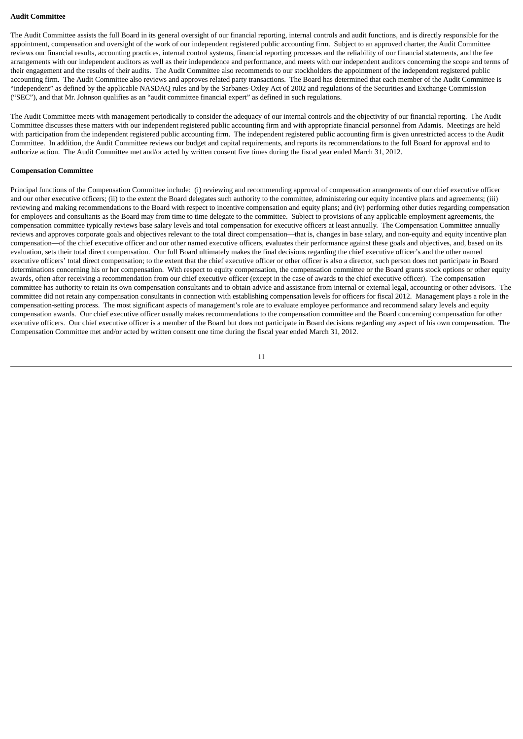#### **Audit Committee**

The Audit Committee assists the full Board in its general oversight of our financial reporting, internal controls and audit functions, and is directly responsible for the appointment, compensation and oversight of the work of our independent registered public accounting firm. Subject to an approved charter, the Audit Committee reviews our financial results, accounting practices, internal control systems, financial reporting processes and the reliability of our financial statements, and the fee arrangements with our independent auditors as well as their independence and performance, and meets with our independent auditors concerning the scope and terms of their engagement and the results of their audits. The Audit Committee also recommends to our stockholders the appointment of the independent registered public accounting firm. The Audit Committee also reviews and approves related party transactions. The Board has determined that each member of the Audit Committee is "independent" as defined by the applicable NASDAQ rules and by the Sarbanes-Oxley Act of 2002 and regulations of the Securities and Exchange Commission ("SEC"), and that Mr. Johnson qualifies as an "audit committee financial expert" as defined in such regulations.

The Audit Committee meets with management periodically to consider the adequacy of our internal controls and the objectivity of our financial reporting. The Audit Committee discusses these matters with our independent registered public accounting firm and with appropriate financial personnel from Adamis. Meetings are held with participation from the independent registered public accounting firm. The independent registered public accounting firm is given unrestricted access to the Audit Committee. In addition, the Audit Committee reviews our budget and capital requirements, and reports its recommendations to the full Board for approval and to authorize action. The Audit Committee met and/or acted by written consent five times during the fiscal year ended March 31, 2012.

#### **Compensation Committee**

Principal functions of the Compensation Committee include: (i) reviewing and recommending approval of compensation arrangements of our chief executive officer and our other executive officers; (ii) to the extent the Board delegates such authority to the committee, administering our equity incentive plans and agreements; (iii) reviewing and making recommendations to the Board with respect to incentive compensation and equity plans; and (iv) performing other duties regarding compensation for employees and consultants as the Board may from time to time delegate to the committee. Subject to provisions of any applicable employment agreements, the compensation committee typically reviews base salary levels and total compensation for executive officers at least annually. The Compensation Committee annually reviews and approves corporate goals and objectives relevant to the total direct compensation—that is, changes in base salary, and non-equity and equity incentive plan compensation—of the chief executive officer and our other named executive officers, evaluates their performance against these goals and objectives, and, based on its evaluation, sets their total direct compensation. Our full Board ultimately makes the final decisions regarding the chief executive officer's and the other named executive officers' total direct compensation; to the extent that the chief executive officer or other officer is also a director, such person does not participate in Board determinations concerning his or her compensation. With respect to equity compensation, the compensation committee or the Board grants stock options or other equity awards, often after receiving a recommendation from our chief executive officer (except in the case of awards to the chief executive officer). The compensation committee has authority to retain its own compensation consultants and to obtain advice and assistance from internal or external legal, accounting or other advisors. The committee did not retain any compensation consultants in connection with establishing compensation levels for officers for fiscal 2012. Management plays a role in the compensation-setting process. The most significant aspects of management's role are to evaluate employee performance and recommend salary levels and equity compensation awards. Our chief executive officer usually makes recommendations to the compensation committee and the Board concerning compensation for other executive officers. Our chief executive officer is a member of the Board but does not participate in Board decisions regarding any aspect of his own compensation. The Compensation Committee met and/or acted by written consent one time during the fiscal year ended March 31, 2012.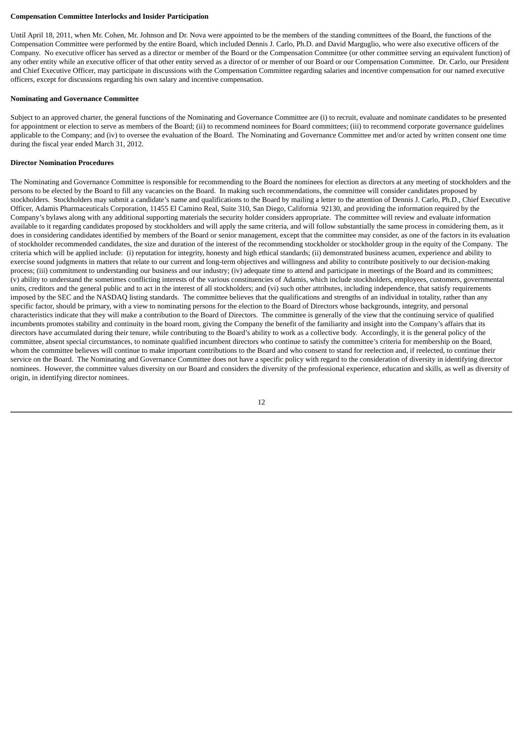#### **Compensation Committee Interlocks and Insider Participation**

Until April 18, 2011, when Mr. Cohen, Mr. Johnson and Dr. Nova were appointed to be the members of the standing committees of the Board, the functions of the Compensation Committee were performed by the entire Board, which included Dennis J. Carlo, Ph.D. and David Marguglio, who were also executive officers of the Company. No executive officer has served as a director or member of the Board or the Compensation Committee (or other committee serving an equivalent function) of any other entity while an executive officer of that other entity served as a director of or member of our Board or our Compensation Committee. Dr. Carlo, our President and Chief Executive Officer, may participate in discussions with the Compensation Committee regarding salaries and incentive compensation for our named executive officers, except for discussions regarding his own salary and incentive compensation.

#### **Nominating and Governance Committee**

Subject to an approved charter, the general functions of the Nominating and Governance Committee are (i) to recruit, evaluate and nominate candidates to be presented for appointment or election to serve as members of the Board; (ii) to recommend nominees for Board committees; (iii) to recommend corporate governance guidelines applicable to the Company; and (iv) to oversee the evaluation of the Board. The Nominating and Governance Committee met and/or acted by written consent one time during the fiscal year ended March 31, 2012.

#### **Director Nomination Procedures**

The Nominating and Governance Committee is responsible for recommending to the Board the nominees for election as directors at any meeting of stockholders and the persons to be elected by the Board to fill any vacancies on the Board. In making such recommendations, the committee will consider candidates proposed by stockholders. Stockholders may submit a candidate's name and qualifications to the Board by mailing a letter to the attention of Dennis J. Carlo, Ph.D., Chief Executive Officer, Adamis Pharmaceuticals Corporation, 11455 El Camino Real, Suite 310, San Diego, California 92130, and providing the information required by the Company's bylaws along with any additional supporting materials the security holder considers appropriate. The committee will review and evaluate information available to it regarding candidates proposed by stockholders and will apply the same criteria, and will follow substantially the same process in considering them, as it does in considering candidates identified by members of the Board or senior management, except that the committee may consider, as one of the factors in its evaluation of stockholder recommended candidates, the size and duration of the interest of the recommending stockholder or stockholder group in the equity of the Company. The criteria which will be applied include: (i) reputation for integrity, honesty and high ethical standards; (ii) demonstrated business acumen, experience and ability to exercise sound judgments in matters that relate to our current and long-term objectives and willingness and ability to contribute positively to our decision-making process; (iii) commitment to understanding our business and our industry; (iv) adequate time to attend and participate in meetings of the Board and its committees; (v) ability to understand the sometimes conflicting interests of the various constituencies of Adamis, which include stockholders, employees, customers, governmental units, creditors and the general public and to act in the interest of all stockholders; and (vi) such other attributes, including independence, that satisfy requirements imposed by the SEC and the NASDAQ listing standards. The committee believes that the qualifications and strengths of an individual in totality, rather than any specific factor, should be primary, with a view to nominating persons for the election to the Board of Directors whose backgrounds, integrity, and personal characteristics indicate that they will make a contribution to the Board of Directors. The committee is generally of the view that the continuing service of qualified incumbents promotes stability and continuity in the board room, giving the Company the benefit of the familiarity and insight into the Company's affairs that its directors have accumulated during their tenure, while contributing to the Board's ability to work as a collective body. Accordingly, it is the general policy of the committee, absent special circumstances, to nominate qualified incumbent directors who continue to satisfy the committee's criteria for membership on the Board, whom the committee believes will continue to make important contributions to the Board and who consent to stand for reelection and, if reelected, to continue their service on the Board. The Nominating and Governance Committee does not have a specific policy with regard to the consideration of diversity in identifying director nominees. However, the committee values diversity on our Board and considers the diversity of the professional experience, education and skills, as well as diversity of origin, in identifying director nominees.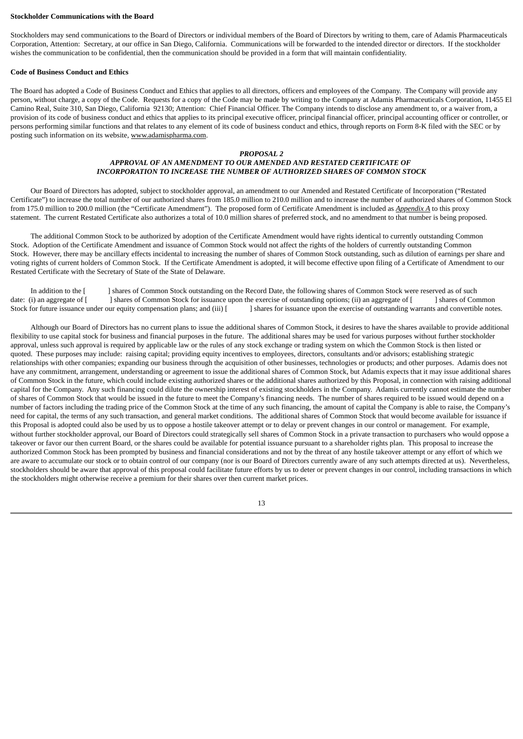#### **Stockholder Communications with the Board**

Stockholders may send communications to the Board of Directors or individual members of the Board of Directors by writing to them, care of Adamis Pharmaceuticals Corporation, Attention: Secretary, at our office in San Diego, California. Communications will be forwarded to the intended director or directors. If the stockholder wishes the communication to be confidential, then the communication should be provided in a form that will maintain confidentiality.

#### **Code of Business Conduct and Ethics**

The Board has adopted a Code of Business Conduct and Ethics that applies to all directors, officers and employees of the Company. The Company will provide any person, without charge, a copy of the Code. Requests for a copy of the Code may be made by writing to the Company at Adamis Pharmaceuticals Corporation, 11455 El Camino Real, Suite 310, San Diego, California 92130; Attention: Chief Financial Officer. The Company intends to disclose any amendment to, or a waiver from, a provision of its code of business conduct and ethics that applies to its principal executive officer, principal financial officer, principal accounting officer or controller, or persons performing similar functions and that relates to any element of its code of business conduct and ethics, through reports on Form 8-K filed with the SEC or by posting such information on its website, www.adamispharma.com.

#### *PROPOSAL 2*

## *APPROVAL OF AN AMENDMENT TO OUR AMENDED AND RESTATED CERTIFICATE OF INCORPORATION TO INCREASE THE NUMBER OF AUTHORIZED SHARES OF COMMON STOCK*

Our Board of Directors has adopted, subject to stockholder approval, an amendment to our Amended and Restated Certificate of Incorporation ("Restated Certificate") to increase the total number of our authorized shares from 185.0 million to 210.0 million and to increase the number of authorized shares of Common Stock from 175.0 million to 200.0 million (the "Certificate Amendment"). The proposed form of Certificate Amendment is included as *Appendix A* to this proxy statement. The current Restated Certificate also authorizes a total of 10.0 million shares of preferred stock, and no amendment to that number is being proposed.

The additional Common Stock to be authorized by adoption of the Certificate Amendment would have rights identical to currently outstanding Common Stock. Adoption of the Certificate Amendment and issuance of Common Stock would not affect the rights of the holders of currently outstanding Common Stock. However, there may be ancillary effects incidental to increasing the number of shares of Common Stock outstanding, such as dilution of earnings per share and voting rights of current holders of Common Stock. If the Certificate Amendment is adopted, it will become effective upon filing of a Certificate of Amendment to our Restated Certificate with the Secretary of State of the State of Delaware.

In addition to the [ ] shares of Common Stock outstanding on the Record Date, the following shares of Common Stock were reserved as of such date: (i) an aggregate of [ ] shares of Common Stock for issuance upon the exercise of outstanding options; (ii) an aggregate of [ ] shares of Common Stock for future issuance under our equity compensation plans; and (iii) [ ] shares for issuance upon the exercise of outstanding warrants and convertible notes.

Although our Board of Directors has no current plans to issue the additional shares of Common Stock, it desires to have the shares available to provide additional flexibility to use capital stock for business and financial purposes in the future. The additional shares may be used for various purposes without further stockholder approval, unless such approval is required by applicable law or the rules of any stock exchange or trading system on which the Common Stock is then listed or quoted. These purposes may include: raising capital; providing equity incentives to employees, directors, consultants and/or advisors; establishing strategic relationships with other companies; expanding our business through the acquisition of other businesses, technologies or products; and other purposes. Adamis does not have any commitment, arrangement, understanding or agreement to issue the additional shares of Common Stock, but Adamis expects that it may issue additional shares of Common Stock in the future, which could include existing authorized shares or the additional shares authorized by this Proposal, in connection with raising additional capital for the Company. Any such financing could dilute the ownership interest of existing stockholders in the Company. Adamis currently cannot estimate the number of shares of Common Stock that would be issued in the future to meet the Company's financing needs. The number of shares required to be issued would depend on a number of factors including the trading price of the Common Stock at the time of any such financing, the amount of capital the Company is able to raise, the Company's need for capital, the terms of any such transaction, and general market conditions. The additional shares of Common Stock that would become available for issuance if this Proposal is adopted could also be used by us to oppose a hostile takeover attempt or to delay or prevent changes in our control or management. For example, without further stockholder approval, our Board of Directors could strategically sell shares of Common Stock in a private transaction to purchasers who would oppose a takeover or favor our then current Board, or the shares could be available for potential issuance pursuant to a shareholder rights plan. This proposal to increase the authorized Common Stock has been prompted by business and financial considerations and not by the threat of any hostile takeover attempt or any effort of which we are aware to accumulate our stock or to obtain control of our company (nor is our Board of Directors currently aware of any such attempts directed at us). Nevertheless, stockholders should be aware that approval of this proposal could facilitate future efforts by us to deter or prevent changes in our control, including transactions in which the stockholders might otherwise receive a premium for their shares over then current market prices.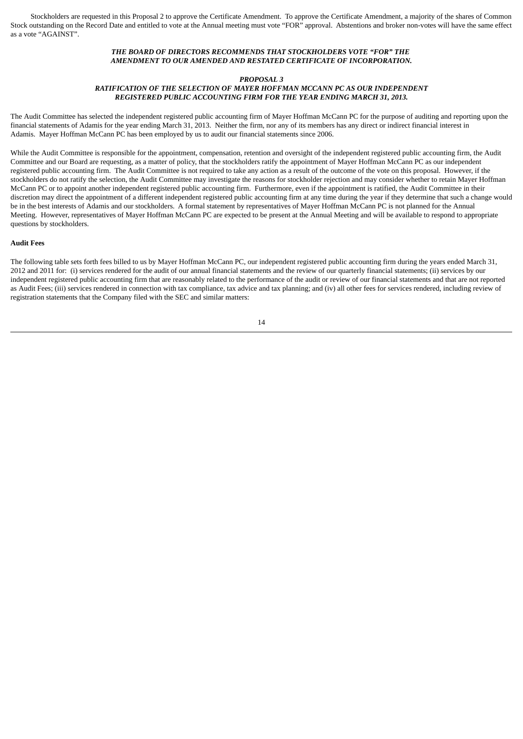Stockholders are requested in this Proposal 2 to approve the Certificate Amendment. To approve the Certificate Amendment, a majority of the shares of Common Stock outstanding on the Record Date and entitled to vote at the Annual meeting must vote "FOR" approval. Abstentions and broker non-votes will have the same effect as a vote "AGAINST".

## *THE BOARD OF DIRECTORS RECOMMENDS THAT STOCKHOLDERS VOTE "FOR" THE AMENDMENT TO OUR AMENDED AND RESTATED CERTIFICATE OF INCORPORATION.*

#### *PROPOSAL 3*

## *RATIFICATION OF THE SELECTION OF MAYER HOFFMAN MCCANN PC AS OUR INDEPENDENT REGISTERED PUBLIC ACCOUNTING FIRM FOR THE YEAR ENDING MARCH 31, 2013.*

The Audit Committee has selected the independent registered public accounting firm of Mayer Hoffman McCann PC for the purpose of auditing and reporting upon the financial statements of Adamis for the year ending March 31, 2013. Neither the firm, nor any of its members has any direct or indirect financial interest in Adamis. Mayer Hoffman McCann PC has been employed by us to audit our financial statements since 2006.

While the Audit Committee is responsible for the appointment, compensation, retention and oversight of the independent registered public accounting firm, the Audit Committee and our Board are requesting, as a matter of policy, that the stockholders ratify the appointment of Mayer Hoffman McCann PC as our independent registered public accounting firm. The Audit Committee is not required to take any action as a result of the outcome of the vote on this proposal. However, if the stockholders do not ratify the selection, the Audit Committee may investigate the reasons for stockholder rejection and may consider whether to retain Mayer Hoffman McCann PC or to appoint another independent registered public accounting firm. Furthermore, even if the appointment is ratified, the Audit Committee in their discretion may direct the appointment of a different independent registered public accounting firm at any time during the year if they determine that such a change would be in the best interests of Adamis and our stockholders. A formal statement by representatives of Mayer Hoffman McCann PC is not planned for the Annual Meeting. However, representatives of Mayer Hoffman McCann PC are expected to be present at the Annual Meeting and will be available to respond to appropriate questions by stockholders.

#### **Audit Fees**

The following table sets forth fees billed to us by Mayer Hoffman McCann PC, our independent registered public accounting firm during the years ended March 31, 2012 and 2011 for: (i) services rendered for the audit of our annual financial statements and the review of our quarterly financial statements; (ii) services by our independent registered public accounting firm that are reasonably related to the performance of the audit or review of our financial statements and that are not reported as Audit Fees; (iii) services rendered in connection with tax compliance, tax advice and tax planning; and (iv) all other fees for services rendered, including review of registration statements that the Company filed with the SEC and similar matters: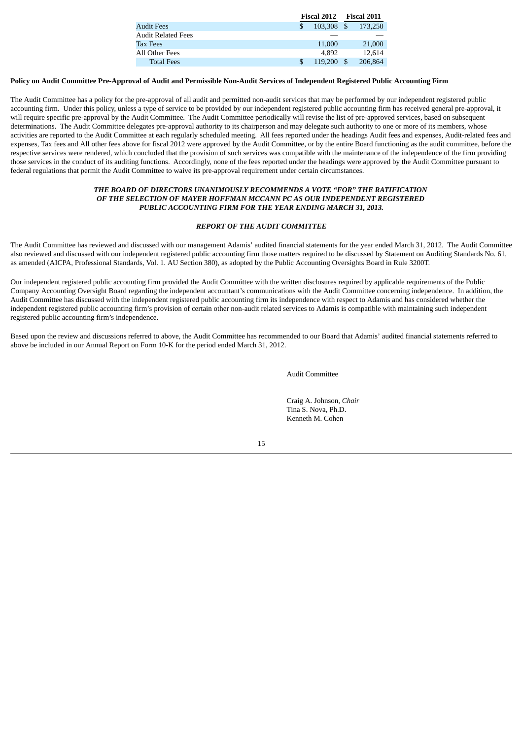|                    | <b>Fiscal 2012</b> |      | <b>Fiscal 2011</b> |
|--------------------|--------------------|------|--------------------|
| Audit Fees         | 103,308            | - \$ | 173.250            |
| Audit Related Fees |                    |      |                    |
| Tax Fees           | 11,000             |      | 21,000             |
| All Other Fees     | 4.892              |      | 12.614             |
| <b>Total Fees</b>  | 119,200            |      | 206,864            |

## Policy on Audit Committee Pre-Approval of Audit and Permissible Non-Audit Services of Independent Registered Public Accounting Firm

The Audit Committee has a policy for the pre-approval of all audit and permitted non-audit services that may be performed by our independent registered public accounting firm. Under this policy, unless a type of service to be provided by our independent registered public accounting firm has received general pre-approval, it will require specific pre-approval by the Audit Committee. The Audit Committee periodically will revise the list of pre-approved services, based on subsequent determinations. The Audit Committee delegates pre-approval authority to its chairperson and may delegate such authority to one or more of its members, whose activities are reported to the Audit Committee at each regularly scheduled meeting. All fees reported under the headings Audit fees and expenses, Audit-related fees and expenses, Tax fees and All other fees above for fiscal 2012 were approved by the Audit Committee, or by the entire Board functioning as the audit committee, before the respective services were rendered, which concluded that the provision of such services was compatible with the maintenance of the independence of the firm providing those services in the conduct of its auditing functions. Accordingly, none of the fees reported under the headings were approved by the Audit Committee pursuant to federal regulations that permit the Audit Committee to waive its pre-approval requirement under certain circumstances.

## *THE BOARD OF DIRECTORS UNANIMOUSLY RECOMMENDS A VOTE "FOR" THE RATIFICATION OF THE SELECTION OF MAYER HOFFMAN MCCANN PC AS OUR INDEPENDENT REGISTERED PUBLIC ACCOUNTING FIRM FOR THE YEAR ENDING MARCH 31, 2013.*

## *REPORT OF THE AUDIT COMMITTEE*

The Audit Committee has reviewed and discussed with our management Adamis' audited financial statements for the year ended March 31, 2012. The Audit Committee also reviewed and discussed with our independent registered public accounting firm those matters required to be discussed by Statement on Auditing Standards No. 61, as amended (AICPA, Professional Standards, Vol. 1. AU Section 380), as adopted by the Public Accounting Oversights Board in Rule 3200T.

Our independent registered public accounting firm provided the Audit Committee with the written disclosures required by applicable requirements of the Public Company Accounting Oversight Board regarding the independent accountant's communications with the Audit Committee concerning independence. In addition, the Audit Committee has discussed with the independent registered public accounting firm its independence with respect to Adamis and has considered whether the independent registered public accounting firm's provision of certain other non-audit related services to Adamis is compatible with maintaining such independent registered public accounting firm's independence.

Based upon the review and discussions referred to above, the Audit Committee has recommended to our Board that Adamis' audited financial statements referred to above be included in our Annual Report on Form 10-K for the period ended March 31, 2012.

Audit Committee

Craig A. Johnson, *Chair* Tina S. Nova, Ph.D. Kenneth M. Cohen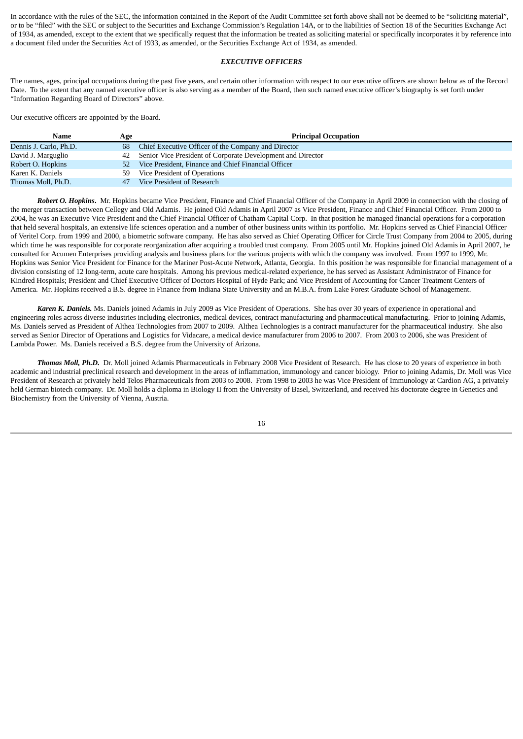In accordance with the rules of the SEC, the information contained in the Report of the Audit Committee set forth above shall not be deemed to be "soliciting material", or to be "filed" with the SEC or subject to the Securities and Exchange Commission's Regulation 14A, or to the liabilities of Section 18 of the Securities Exchange Act of 1934, as amended, except to the extent that we specifically request that the information be treated as soliciting material or specifically incorporates it by reference into a document filed under the Securities Act of 1933, as amended, or the Securities Exchange Act of 1934, as amended.

#### *EXECUTIVE OFFICERS*

The names, ages, principal occupations during the past five years, and certain other information with respect to our executive officers are shown below as of the Record Date. To the extent that any named executive officer is also serving as a member of the Board, then such named executive officer's biography is set forth under "Information Regarding Board of Directors" above.

Our executive officers are appointed by the Board.

| Name                   | Age | <b>Principal Occupation</b>                                 |
|------------------------|-----|-------------------------------------------------------------|
| Dennis J. Carlo, Ph.D. | 68  | Chief Executive Officer of the Company and Director         |
| David J. Marguglio     | 42  | Senior Vice President of Corporate Development and Director |
| Robert O. Hopkins      | 52. | Vice President, Finance and Chief Financial Officer         |
| Karen K. Daniels       | 59. | Vice President of Operations                                |
| Thomas Moll, Ph.D.     | 47  | Vice President of Research                                  |

*Robert O. Hopkins***.** Mr. Hopkins became Vice President, Finance and Chief Financial Officer of the Company in April 2009 in connection with the closing of the merger transaction between Cellegy and Old Adamis. He joined Old Adamis in April 2007 as Vice President, Finance and Chief Financial Officer. From 2000 to 2004, he was an Executive Vice President and the Chief Financial Officer of Chatham Capital Corp. In that position he managed financial operations for a corporation that held several hospitals, an extensive life sciences operation and a number of other business units within its portfolio. Mr. Hopkins served as Chief Financial Officer of Veritel Corp. from 1999 and 2000, a biometric software company. He has also served as Chief Operating Officer for Circle Trust Company from 2004 to 2005, during which time he was responsible for corporate reorganization after acquiring a troubled trust company. From 2005 until Mr. Hopkins joined Old Adamis in April 2007, he consulted for Acumen Enterprises providing analysis and business plans for the various projects with which the company was involved. From 1997 to 1999, Mr. Hopkins was Senior Vice President for Finance for the Mariner Post-Acute Network, Atlanta, Georgia. In this position he was responsible for financial management of a division consisting of 12 long-term, acute care hospitals. Among his previous medical-related experience, he has served as Assistant Administrator of Finance for Kindred Hospitals; President and Chief Executive Officer of Doctors Hospital of Hyde Park; and Vice President of Accounting for Cancer Treatment Centers of America. Mr. Hopkins received a B.S. degree in Finance from Indiana State University and an M.B.A. from Lake Forest Graduate School of Management.

*Karen K. Daniels.* Ms. Daniels joined Adamis in July 2009 as Vice President of Operations. She has over 30 years of experience in operational and engineering roles across diverse industries including electronics, medical devices, contract manufacturing and pharmaceutical manufacturing. Prior to joining Adamis, Ms. Daniels served as President of Althea Technologies from 2007 to 2009. Althea Technologies is a contract manufacturer for the pharmaceutical industry. She also served as Senior Director of Operations and Logistics for Vidacare, a medical device manufacturer from 2006 to 2007. From 2003 to 2006, she was President of Lambda Power. Ms. Daniels received a B.S. degree from the University of Arizona.

*Thomas Moll, Ph.D.* Dr. Moll joined Adamis Pharmaceuticals in February 2008 Vice President of Research. He has close to 20 years of experience in both academic and industrial preclinical research and development in the areas of inflammation, immunology and cancer biology. Prior to joining Adamis, Dr. Moll was Vice President of Research at privately held Telos Pharmaceuticals from 2003 to 2008. From 1998 to 2003 he was Vice President of Immunology at Cardion AG, a privately held German biotech company. Dr. Moll holds a diploma in Biology II from the University of Basel, Switzerland, and received his doctorate degree in Genetics and Biochemistry from the University of Vienna, Austria.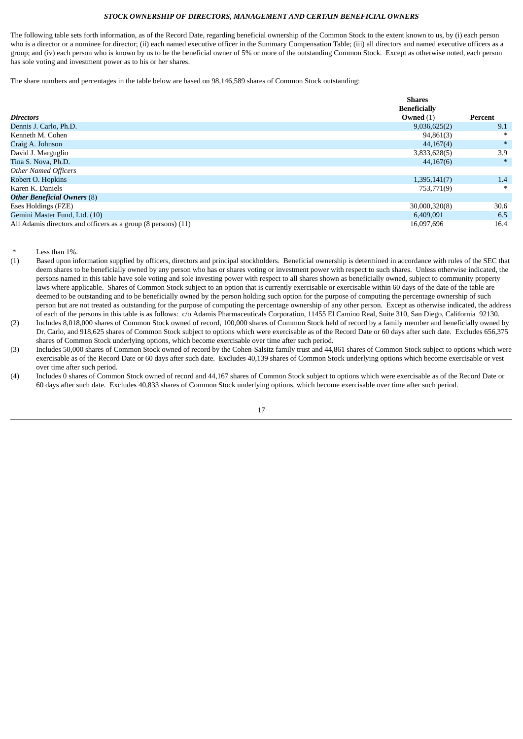## *STOCK OWNERSHIP OF DIRECTORS, MANAGEMENT AND CERTAIN BENEFICIAL OWNERS*

The following table sets forth information, as of the Record Date, regarding beneficial ownership of the Common Stock to the extent known to us, by (i) each person who is a director or a nominee for director; (ii) each named executive officer in the Summary Compensation Table; (iii) all directors and named executive officers as a group; and (iv) each person who is known by us to be the beneficial owner of 5% or more of the outstanding Common Stock. Except as otherwise noted, each person has sole voting and investment power as to his or her shares.

The share numbers and percentages in the table below are based on 98,146,589 shares of Common Stock outstanding:

|                                                               | <b>Shares</b>       |         |
|---------------------------------------------------------------|---------------------|---------|
|                                                               | <b>Beneficially</b> |         |
| <b>Directors</b>                                              | Owned $(1)$         | Percent |
| Dennis J. Carlo, Ph.D.                                        | 9,036,625(2)        | 9.1     |
| Kenneth M. Cohen                                              | 94,861(3)           | ∗       |
| Craig A. Johnson                                              | 44,167(4)           | $*$     |
| David J. Marguglio                                            | 3,833,628(5)        | 3.9     |
| Tina S. Nova, Ph.D.                                           | 44,167(6)           | $\ast$  |
| <b>Other Named Officers</b>                                   |                     |         |
| Robert O. Hopkins                                             | 1,395,141(7)        | 1.4     |
| Karen K. Daniels                                              | 753,771(9)          | ∗       |
| <b>Other Beneficial Owners (8)</b>                            |                     |         |
| Eses Holdings (FZE)                                           | 30,000,320(8)       | 30.6    |
| Gemini Master Fund, Ltd. (10)                                 | 6,409,091           | 6.5     |
| All Adamis directors and officers as a group (8 persons) (11) | 16,097,696          | 16.4    |

- Less than 1%.
- (1) Based upon information supplied by officers, directors and principal stockholders. Beneficial ownership is determined in accordance with rules of the SEC that deem shares to be beneficially owned by any person who has or shares voting or investment power with respect to such shares. Unless otherwise indicated, the persons named in this table have sole voting and sole investing power with respect to all shares shown as beneficially owned, subject to community property laws where applicable. Shares of Common Stock subject to an option that is currently exercisable or exercisable within 60 days of the date of the table are deemed to be outstanding and to be beneficially owned by the person holding such option for the purpose of computing the percentage ownership of such person but are not treated as outstanding for the purpose of computing the percentage ownership of any other person. Except as otherwise indicated, the address of each of the persons in this table is as follows: c/o Adamis Pharmaceuticals Corporation, 11455 El Camino Real, Suite 310, San Diego, California 92130.
- (2) Includes 8,018,000 shares of Common Stock owned of record, 100,000 shares of Common Stock held of record by a family member and beneficially owned by Dr. Carlo, and 918,625 shares of Common Stock subject to options which were exercisable as of the Record Date or 60 days after such date. Excludes 656,375 shares of Common Stock underlying options, which become exercisable over time after such period.
- (3) Includes 50,000 shares of Common Stock owned of record by the Cohen-Salsitz family trust and 44,861 shares of Common Stock subject to options which were exercisable as of the Record Date or 60 days after such date. Excludes 40,139 shares of Common Stock underlying options which become exercisable or vest over time after such period.
- (4) Includes 0 shares of Common Stock owned of record and 44,167 shares of Common Stock subject to options which were exercisable as of the Record Date or 60 days after such date. Excludes 40,833 shares of Common Stock underlying options, which become exercisable over time after such period.

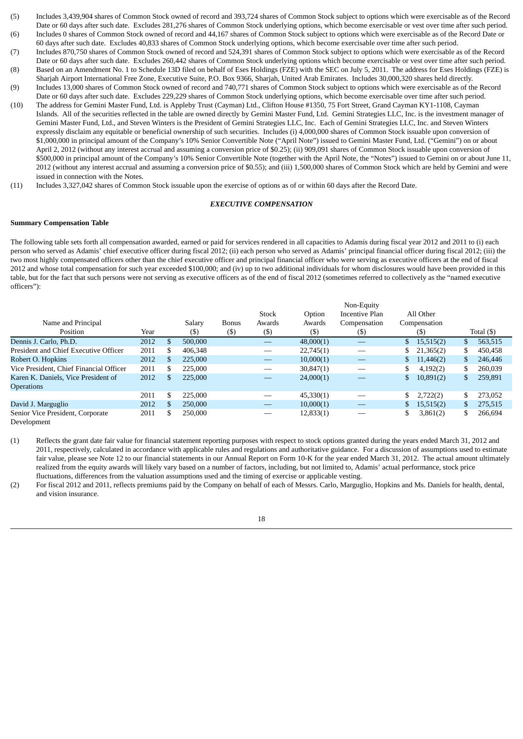- (5) Includes 3,439,904 shares of Common Stock owned of record and 393,724 shares of Common Stock subject to options which were exercisable as of the Record Date or 60 days after such date. Excludes 281,276 shares of Common Stock underlying options, which become exercisable or vest over time after such period.
- (6) Includes 0 shares of Common Stock owned of record and 44,167 shares of Common Stock subject to options which were exercisable as of the Record Date or 60 days after such date. Excludes 40,833 shares of Common Stock underlying options, which become exercisable over time after such period.
- (7) Includes 870,750 shares of Common Stock owned of record and 524,391 shares of Common Stock subject to options which were exercisable as of the Record Date or 60 days after such date. Excludes 260,442 shares of Common Stock underlying options which become exercisable or vest over time after such period. (8) Based on an Amendment No. 1 to Schedule 13D filed on behalf of Eses Holdings (FZE) with the SEC on July 5, 2011. The address for Eses Holdings (FZE) is
- Sharjah Airport International Free Zone, Executive Suite, P.O. Box 9366, Sharjah, United Arab Emirates. Includes 30,000,320 shares held directly. (9) Includes 13,000 shares of Common Stock owned of record and 740,771 shares of Common Stock subject to options which were exercisable as of the Record
- Date or 60 days after such date. Excludes 229,229 shares of Common Stock underlying options, which become exercisable over time after such period. (10) The address for Gemini Master Fund, Ltd. is Appleby Trust (Cayman) Ltd., Clifton House #1350, 75 Fort Street, Grand Cayman KY1-1108, Cayman Islands. All of the securities reflected in the table are owned directly by Gemini Master Fund, Ltd. Gemini Strategies LLC, Inc. is the investment manager of Gemini Master Fund, Ltd., and Steven Winters is the President of Gemini Strategies LLC, Inc. Each of Gemini Strategies LLC, Inc. and Steven Winters expressly disclaim any equitable or beneficial ownership of such securities. Includes (i) 4,000,000 shares of Common Stock issuable upon conversion of \$1,000,000 in principal amount of the Company's 10% Senior Convertible Note ("April Note") issued to Gemini Master Fund, Ltd. ("Gemini") on or about April 2, 2012 (without any interest accrual and assuming a conversion price of \$0.25); (ii) 909,091 shares of Common Stock issuable upon conversion of \$500,000 in principal amount of the Company's 10% Senior Convertible Note (together with the April Note, the "Notes") issued to Gemini on or about June 11, 2012 (without any interest accrual and assuming a conversion price of \$0.55); and (iii) 1,500,000 shares of Common Stock which are held by Gemini and were issued in connection with the Notes.
- (11) Includes 3,327,042 shares of Common Stock issuable upon the exercise of options as of or within 60 days after the Record Date.

#### *EXECUTIVE COMPENSATION*

#### **Summary Compensation Table**

The following table sets forth all compensation awarded, earned or paid for services rendered in all capacities to Adamis during fiscal year 2012 and 2011 to (i) each person who served as Adamis' chief executive officer during fiscal 2012; (ii) each person who served as Adamis' principal financial officer during fiscal 2012; (iii) the two most highly compensated officers other than the chief executive officer and principal financial officer who were serving as executive officers at the end of fiscal 2012 and whose total compensation for such year exceeded \$100,000; and (iv) up to two additional individuals for whom disclosures would have been provided in this table, but for the fact that such persons were not serving as executive officers as of the end of fiscal 2012 (sometimes referred to collectively as the "named executive officers"):

|                                         |      |              |         |              |                                 |           | Non-Equity     |                 |                  |
|-----------------------------------------|------|--------------|---------|--------------|---------------------------------|-----------|----------------|-----------------|------------------|
|                                         |      |              |         |              | <b>Stock</b>                    | Option    | Incentive Plan | All Other       |                  |
| Name and Principal                      |      |              | Salary  | <b>Bonus</b> | Awards                          | Awards    | Compensation   | Compensation    |                  |
| Position                                | Year |              | $(\$\)$ | (\$)         | $($ \$)                         | $($ \$)   | $(\mathbb{S})$ | (\$)            | Total $($ \$ $)$ |
| Dennis J. Carlo, Ph.D.                  | 2012 |              | 500,000 |              | $\hspace{0.1mm}-\hspace{0.1mm}$ | 48,000(1) |                | \$<br>15,515(2) | \$<br>563,515    |
| President and Chief Executive Officer   | 2011 |              | 406,348 |              |                                 | 22,745(1) |                | \$<br>21,365(2) | \$<br>450.458    |
| Robert O. Hopkins                       | 2012 |              | 225,000 |              |                                 | 10,000(1) |                | \$<br>11,446(2) | \$<br>246,446    |
| Vice President, Chief Financial Officer | 2011 |              | 225,000 |              |                                 | 30,847(1) |                | 4,192(2)        | \$<br>260,039    |
| Karen K. Daniels, Vice President of     | 2012 | $\mathbf{S}$ | 225,000 |              | --                              | 24,000(1) |                | \$<br>10,891(2) | \$<br>259,891    |
| <b>Operations</b>                       |      |              |         |              |                                 |           |                |                 |                  |
|                                         | 2011 | \$.          | 225,000 |              |                                 | 45,330(1) |                | \$<br>2,722(2)  | 273,052          |
| David J. Marguglio                      | 2012 |              | 250,000 |              |                                 | 10,000(1) |                | \$<br>15,515(2) | 275,515          |
| Senior Vice President, Corporate        | 2011 |              | 250,000 |              |                                 | 12,833(1) |                | 3,861(2)        | 266,694          |

Development

(1) Reflects the grant date fair value for financial statement reporting purposes with respect to stock options granted during the years ended March 31, 2012 and 2011, respectively, calculated in accordance with applicable rules and regulations and authoritative guidance. For a discussion of assumptions used to estimate fair value, please see Note 12 to our financial statements in our Annual Report on Form 10-K for the year ended March 31, 2012. The actual amount ultimately realized from the equity awards will likely vary based on a number of factors, including, but not limited to, Adamis' actual performance, stock price fluctuations, differences from the valuation assumptions used and the timing of exercise or applicable vesting.

(2) For fiscal 2012 and 2011, reflects premiums paid by the Company on behalf of each of Messrs. Carlo, Marguglio, Hopkins and Ms. Daniels for health, dental, and vision insurance.

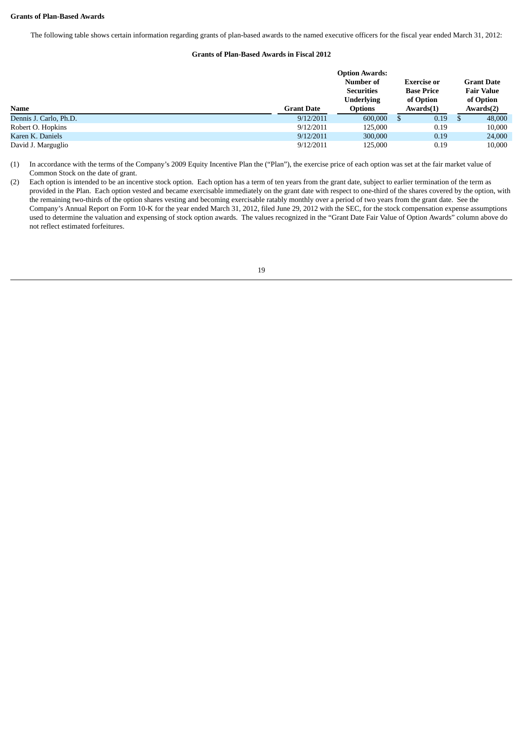The following table shows certain information regarding grants of plan-based awards to the named executive officers for the fiscal year ended March 31, 2012:

## **Grants of Plan-Based Awards in Fiscal 2012**

|                        | <b>Option Awards:</b> |                   |                    |                   |  |  |  |
|------------------------|-----------------------|-------------------|--------------------|-------------------|--|--|--|
|                        |                       | Number of         | <b>Exercise or</b> | <b>Grant Date</b> |  |  |  |
|                        |                       | <b>Securities</b> | <b>Base Price</b>  | <b>Fair Value</b> |  |  |  |
|                        |                       | <b>Underlying</b> | of Option          | of Option         |  |  |  |
| Name                   | <b>Grant Date</b>     | <b>Options</b>    | Awards(1)          | Awards(2)         |  |  |  |
| Dennis J. Carlo, Ph.D. | 9/12/2011             | 600,000           | 0.19               | 48,000            |  |  |  |
| Robert O. Hopkins      | 9/12/2011             | 125,000           | 0.19               | 10,000            |  |  |  |
| Karen K. Daniels       | 9/12/2011             | 300,000           | 0.19               | 24,000            |  |  |  |
| David J. Marguglio     | 9/12/2011             | 125,000           | 0.19               | 10,000            |  |  |  |

(1) In accordance with the terms of the Company's 2009 Equity Incentive Plan the ("Plan"), the exercise price of each option was set at the fair market value of Common Stock on the date of grant.

(2) Each option is intended to be an incentive stock option. Each option has a term of ten years from the grant date, subject to earlier termination of the term as provided in the Plan. Each option vested and became exercisable immediately on the grant date with respect to one-third of the shares covered by the option, with the remaining two-thirds of the option shares vesting and becoming exercisable ratably monthly over a period of two years from the grant date. See the Company's Annual Report on Form 10-K for the year ended March 31, 2012, filed June 29, 2012 with the SEC, for the stock compensation expense assumptions used to determine the valuation and expensing of stock option awards. The values recognized in the "Grant Date Fair Value of Option Awards" column above do not reflect estimated forfeitures.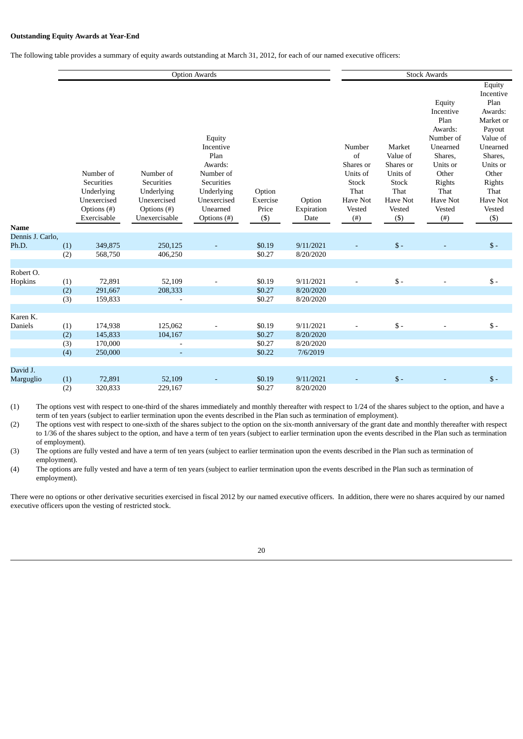#### **Outstanding Equity Awards at Year-End**

The following table provides a summary of equity awards outstanding at March 31, 2012, for each of our named executive officers:

|                           |                   |                                                                     |                                                                               | <b>Option Awards</b>                                                                                       |                             |                                     |                                                                                     |                                                                                                  | <b>Stock Awards</b>                                                                                                                            |                                                                                                                                                                      |  |
|---------------------------|-------------------|---------------------------------------------------------------------|-------------------------------------------------------------------------------|------------------------------------------------------------------------------------------------------------|-----------------------------|-------------------------------------|-------------------------------------------------------------------------------------|--------------------------------------------------------------------------------------------------|------------------------------------------------------------------------------------------------------------------------------------------------|----------------------------------------------------------------------------------------------------------------------------------------------------------------------|--|
|                           |                   | Number of<br>Securities<br>Underlying<br>Unexercised<br>Options (#) | Number of<br><b>Securities</b><br>Underlying<br>Unexercised<br>Options $(\#)$ | Equity<br>Incentive<br>Plan<br>Awards:<br>Number of<br>Securities<br>Underlying<br>Unexercised<br>Unearned | Option<br>Exercise<br>Price | Option<br>Expiration                | Number<br>of<br>Shares or<br>Units of<br>Stock<br>That<br><b>Have Not</b><br>Vested | Market<br>Value of<br>Shares or<br>Units of<br><b>Stock</b><br>That<br><b>Have Not</b><br>Vested | Equity<br>Incentive<br>Plan<br>Awards:<br>Number of<br>Unearned<br>Shares,<br>Units or<br>Other<br>Rights<br>That<br><b>Have Not</b><br>Vested | Equity<br>Incentive<br>Plan<br>Awards:<br>Market or<br>Payout<br>Value of<br>Unearned<br>Shares,<br>Units or<br>Other<br>Rights<br>That<br><b>Have Not</b><br>Vested |  |
|                           |                   | Exercisable                                                         | Unexercisable                                                                 | Options (#)                                                                                                | $($ \$)                     | Date                                | $(\#)$                                                                              | $(\$)$                                                                                           | $($ # $)$                                                                                                                                      | $($ \$)                                                                                                                                                              |  |
| <b>Name</b>               |                   |                                                                     |                                                                               |                                                                                                            |                             |                                     |                                                                                     |                                                                                                  |                                                                                                                                                |                                                                                                                                                                      |  |
| Dennis J. Carlo,<br>Ph.D. | (1)<br>(2)        | 349,875<br>568,750                                                  | 250,125<br>406,250                                                            |                                                                                                            | \$0.19<br>\$0.27            | 9/11/2021<br>8/20/2020              |                                                                                     | $\$\,$                                                                                           |                                                                                                                                                | $\mathsf{\$}$ -                                                                                                                                                      |  |
|                           |                   |                                                                     |                                                                               |                                                                                                            |                             |                                     |                                                                                     |                                                                                                  |                                                                                                                                                |                                                                                                                                                                      |  |
| Robert O.<br>Hopkins      | (1)<br>(2)<br>(3) | 72,891<br>291,667<br>159,833                                        | 52,109<br>208,333                                                             |                                                                                                            | \$0.19<br>\$0.27<br>\$0.27  | 9/11/2021<br>8/20/2020<br>8/20/2020 |                                                                                     | $\mathsf{\$}$ -                                                                                  |                                                                                                                                                | $S -$                                                                                                                                                                |  |
|                           |                   |                                                                     |                                                                               |                                                                                                            |                             |                                     |                                                                                     |                                                                                                  |                                                                                                                                                |                                                                                                                                                                      |  |
| Karen K.<br>Daniels       | (1)<br>(2)<br>(3) | 174,938<br>145,833<br>170,000                                       | 125,062<br>104,167                                                            |                                                                                                            | \$0.19<br>\$0.27<br>\$0.27  | 9/11/2021<br>8/20/2020<br>8/20/2020 |                                                                                     | $\mathsf{\$}$ -                                                                                  |                                                                                                                                                | $\mathsf{\$}$ -                                                                                                                                                      |  |
|                           | (4)               | 250,000                                                             |                                                                               |                                                                                                            | \$0.22                      | 7/6/2019                            |                                                                                     |                                                                                                  |                                                                                                                                                |                                                                                                                                                                      |  |
|                           |                   |                                                                     |                                                                               |                                                                                                            |                             |                                     |                                                                                     |                                                                                                  |                                                                                                                                                |                                                                                                                                                                      |  |
| David J.<br>Marguglio     | (1)<br>(2)        | 72,891<br>320,833                                                   | 52,109<br>229,167                                                             |                                                                                                            | \$0.19<br>\$0.27            | 9/11/2021<br>8/20/2020              |                                                                                     | $\mathbb{S}$ -                                                                                   |                                                                                                                                                | $\mathsf{\$}$ -                                                                                                                                                      |  |
|                           |                   |                                                                     |                                                                               |                                                                                                            |                             |                                     |                                                                                     |                                                                                                  |                                                                                                                                                |                                                                                                                                                                      |  |

(1) The options vest with respect to one-third of the shares immediately and monthly thereafter with respect to 1/24 of the shares subject to the option, and have a term of ten years (subject to earlier termination upon the events described in the Plan such as termination of employment).

(2) The options vest with respect to one-sixth of the shares subject to the option on the six-month anniversary of the grant date and monthly thereafter with respect to 1/36 of the shares subject to the option, and have a term of ten years (subject to earlier termination upon the events described in the Plan such as termination of employment).

(3) The options are fully vested and have a term of ten years (subject to earlier termination upon the events described in the Plan such as termination of employment).

(4) The options are fully vested and have a term of ten years (subject to earlier termination upon the events described in the Plan such as termination of employment).

There were no options or other derivative securities exercised in fiscal 2012 by our named executive officers. In addition, there were no shares acquired by our named executive officers upon the vesting of restricted stock.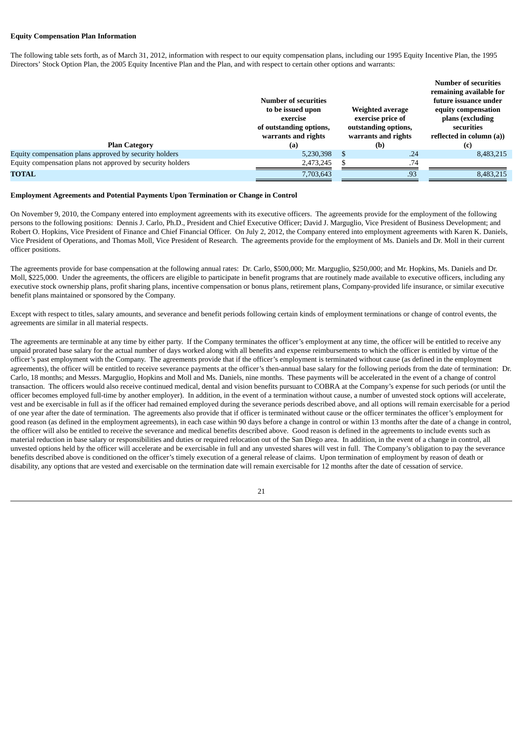#### **Equity Compensation Plan Information**

The following table sets forth, as of March 31, 2012, information with respect to our equity compensation plans, including our 1995 Equity Incentive Plan, the 1995 Directors' Stock Option Plan, the 2005 Equity Incentive Plan and the Plan, and with respect to certain other options and warrants:

|                                                            | Number of securities<br>to be issued upon<br>exercise<br>of outstanding options,<br>warrants and rights | Weighted average<br>exercise price of<br>outstanding options,<br>warrants and rights | <b>Number of securities</b><br>remaining available for<br>future issuance under<br>equity compensation<br>plans (excluding<br>securities<br>reflected in column (a)) |
|------------------------------------------------------------|---------------------------------------------------------------------------------------------------------|--------------------------------------------------------------------------------------|----------------------------------------------------------------------------------------------------------------------------------------------------------------------|
| <b>Plan Category</b>                                       | (a)                                                                                                     | (b)                                                                                  | (c)                                                                                                                                                                  |
| Equity compensation plans approved by security holders     | 5,230,398                                                                                               | .24                                                                                  | 8,483,215                                                                                                                                                            |
| Equity compensation plans not approved by security holders | 2,473,245                                                                                               | .74                                                                                  |                                                                                                                                                                      |
| <b>TOTAL</b>                                               | 7,703,643                                                                                               | .93                                                                                  | 8,483,215                                                                                                                                                            |

#### **Employment Agreements and Potential Payments Upon Termination or Change in Control**

On November 9, 2010, the Company entered into employment agreements with its executive officers. The agreements provide for the employment of the following persons to the following positions: Dennis J. Carlo, Ph.D., President and Chief Executive Officer; David J. Marguglio, Vice President of Business Development; and Robert O. Hopkins, Vice President of Finance and Chief Financial Officer. On July 2, 2012, the Company entered into employment agreements with Karen K. Daniels, Vice President of Operations, and Thomas Moll, Vice President of Research. The agreements provide for the employment of Ms. Daniels and Dr. Moll in their current officer positions.

The agreements provide for base compensation at the following annual rates: Dr. Carlo, \$500,000; Mr. Marguglio, \$250,000; and Mr. Hopkins, Ms. Daniels and Dr. Moll, \$225,000. Under the agreements, the officers are eligible to participate in benefit programs that are routinely made available to executive officers, including any executive stock ownership plans, profit sharing plans, incentive compensation or bonus plans, retirement plans, Company-provided life insurance, or similar executive benefit plans maintained or sponsored by the Company.

Except with respect to titles, salary amounts, and severance and benefit periods following certain kinds of employment terminations or change of control events, the agreements are similar in all material respects.

The agreements are terminable at any time by either party. If the Company terminates the officer's employment at any time, the officer will be entitled to receive any unpaid prorated base salary for the actual number of days worked along with all benefits and expense reimbursements to which the officer is entitled by virtue of the officer's past employment with the Company. The agreements provide that if the officer's employment is terminated without cause (as defined in the employment agreements), the officer will be entitled to receive severance payments at the officer's then-annual base salary for the following periods from the date of termination: Dr. Carlo, 18 months; and Messrs. Marguglio, Hopkins and Moll and Ms. Daniels, nine months. These payments will be accelerated in the event of a change of control transaction. The officers would also receive continued medical, dental and vision benefits pursuant to COBRA at the Company's expense for such periods (or until the officer becomes employed full-time by another employer). In addition, in the event of a termination without cause, a number of unvested stock options will accelerate, vest and be exercisable in full as if the officer had remained employed during the severance periods described above, and all options will remain exercisable for a period of one year after the date of termination. The agreements also provide that if officer is terminated without cause or the officer terminates the officer's employment for good reason (as defined in the employment agreements), in each case within 90 days before a change in control or within 13 months after the date of a change in control, the officer will also be entitled to receive the severance and medical benefits described above. Good reason is defined in the agreements to include events such as material reduction in base salary or responsibilities and duties or required relocation out of the San Diego area. In addition, in the event of a change in control, all unvested options held by the officer will accelerate and be exercisable in full and any unvested shares will vest in full. The Company's obligation to pay the severance benefits described above is conditioned on the officer's timely execution of a general release of claims. Upon termination of employment by reason of death or disability, any options that are vested and exercisable on the termination date will remain exercisable for 12 months after the date of cessation of service.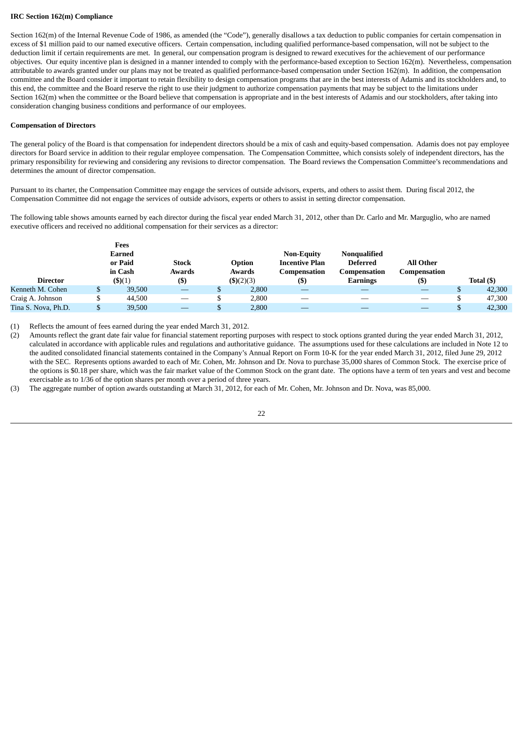#### **IRC Section 162(m) Compliance**

Section 162(m) of the Internal Revenue Code of 1986, as amended (the "Code"), generally disallows a tax deduction to public companies for certain compensation in excess of \$1 million paid to our named executive officers. Certain compensation, including qualified performance-based compensation, will not be subject to the deduction limit if certain requirements are met. In general, our compensation program is designed to reward executives for the achievement of our performance objectives. Our equity incentive plan is designed in a manner intended to comply with the performance-based exception to Section 162(m). Nevertheless, compensation attributable to awards granted under our plans may not be treated as qualified performance-based compensation under Section 162(m). In addition, the compensation committee and the Board consider it important to retain flexibility to design compensation programs that are in the best interests of Adamis and its stockholders and, to this end, the committee and the Board reserve the right to use their judgment to authorize compensation payments that may be subject to the limitations under Section 162(m) when the committee or the Board believe that compensation is appropriate and in the best interests of Adamis and our stockholders, after taking into consideration changing business conditions and performance of our employees.

#### **Compensation of Directors**

The general policy of the Board is that compensation for independent directors should be a mix of cash and equity-based compensation. Adamis does not pay employee directors for Board service in addition to their regular employee compensation. The Compensation Committee, which consists solely of independent directors, has the primary responsibility for reviewing and considering any revisions to director compensation. The Board reviews the Compensation Committee's recommendations and determines the amount of director compensation.

Pursuant to its charter, the Compensation Committee may engage the services of outside advisors, experts, and others to assist them. During fiscal 2012, the Compensation Committee did not engage the services of outside advisors, experts or others to assist in setting director compensation.

The following table shows amounts earned by each director during the fiscal year ended March 31, 2012, other than Dr. Carlo and Mr. Marguglio, who are named executive officers and received no additional compensation for their services as a director:

|                     |  | Fees    |              |              |                       |                 |                  |            |
|---------------------|--|---------|--------------|--------------|-----------------------|-----------------|------------------|------------|
|                     |  | Earned  |              |              | <b>Non-Equity</b>     | Nonqualified    |                  |            |
|                     |  | or Paid | <b>Stock</b> | Option       | <b>Incentive Plan</b> | <b>Deferred</b> | <b>All Other</b> |            |
| in Cash<br>Awards   |  |         | Awards       | Compensation | Compensation          | Compensation    |                  |            |
| Director            |  | \$)(1)  | $($ \$)      | \$)(2)(3)    | $($)$                 | <b>Earnings</b> | $($)$            | Total (\$) |
| Kenneth M. Cohen    |  | 39,500  |              | 2,800        |                       |                 |                  | 42,300     |
| Craig A. Johnson    |  | 44.500  | --           | 2,800        |                       |                 |                  | 47,300     |
| Tina S. Nova, Ph.D. |  | 39,500  |              | 2,800        |                       |                 |                  | 42,300     |

(1) Reflects the amount of fees earned during the year ended March 31, 2012.

(2) Amounts reflect the grant date fair value for financial statement reporting purposes with respect to stock options granted during the year ended March 31, 2012, calculated in accordance with applicable rules and regulations and authoritative guidance. The assumptions used for these calculations are included in Note 12 to the audited consolidated financial statements contained in the Company's Annual Report on Form 10-K for the year ended March 31, 2012, filed June 29, 2012 with the SEC. Represents options awarded to each of Mr. Cohen, Mr. Johnson and Dr. Nova to purchase 35,000 shares of Common Stock. The exercise price of the options is \$0.18 per share, which was the fair market value of the Common Stock on the grant date. The options have a term of ten years and vest and become exercisable as to 1/36 of the option shares per month over a period of three years.

(3) The aggregate number of option awards outstanding at March 31, 2012, for each of Mr. Cohen, Mr. Johnson and Dr. Nova, was 85,000.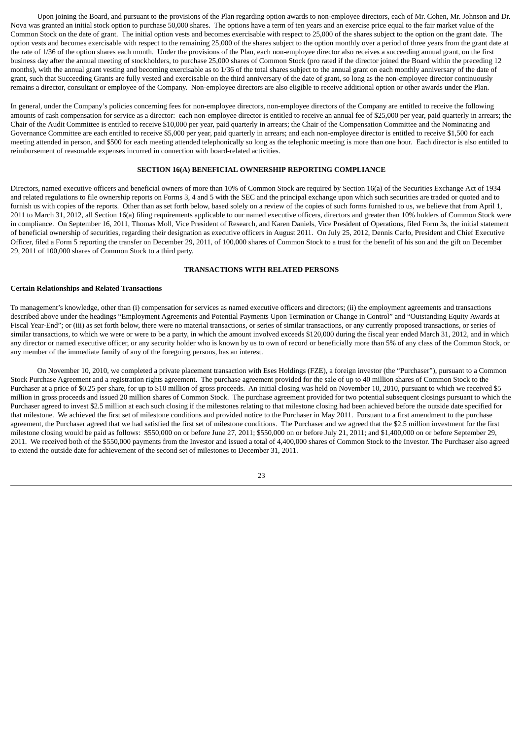Upon joining the Board, and pursuant to the provisions of the Plan regarding option awards to non-employee directors, each of Mr. Cohen, Mr. Johnson and Dr. Nova was granted an initial stock option to purchase 50,000 shares. The options have a term of ten years and an exercise price equal to the fair market value of the Common Stock on the date of grant. The initial option vests and becomes exercisable with respect to 25,000 of the shares subject to the option on the grant date. The option vests and becomes exercisable with respect to the remaining 25,000 of the shares subject to the option monthly over a period of three years from the grant date at the rate of 1/36 of the option shares each month. Under the provisions of the Plan, each non-employee director also receives a succeeding annual grant, on the first business day after the annual meeting of stockholders, to purchase 25,000 shares of Common Stock (pro rated if the director joined the Board within the preceding 12 months), with the annual grant vesting and becoming exercisable as to 1/36 of the total shares subject to the annual grant on each monthly anniversary of the date of grant, such that Succeeding Grants are fully vested and exercisable on the third anniversary of the date of grant, so long as the non-employee director continuously remains a director, consultant or employee of the Company. Non-employee directors are also eligible to receive additional option or other awards under the Plan.

In general, under the Company's policies concerning fees for non-employee directors, non-employee directors of the Company are entitled to receive the following amounts of cash compensation for service as a director: each non-employee director is entitled to receive an annual fee of \$25,000 per year, paid quarterly in arrears; the Chair of the Audit Committee is entitled to receive \$10,000 per year, paid quarterly in arrears; the Chair of the Compensation Committee and the Nominating and Governance Committee are each entitled to receive \$5,000 per year, paid quarterly in arrears; and each non-employee director is entitled to receive \$1,500 for each meeting attended in person, and \$500 for each meeting attended telephonically so long as the telephonic meeting is more than one hour. Each director is also entitled to reimbursement of reasonable expenses incurred in connection with board-related activities.

#### **SECTION 16(A) BENEFICIAL OWNERSHIP REPORTING COMPLIANCE**

Directors, named executive officers and beneficial owners of more than 10% of Common Stock are required by Section 16(a) of the Securities Exchange Act of 1934 and related regulations to file ownership reports on Forms 3, 4 and 5 with the SEC and the principal exchange upon which such securities are traded or quoted and to furnish us with copies of the reports. Other than as set forth below, based solely on a review of the copies of such forms furnished to us, we believe that from April 1, 2011 to March 31, 2012, all Section 16(a) filing requirements applicable to our named executive officers, directors and greater than 10% holders of Common Stock were in compliance. On September 16, 2011, Thomas Moll, Vice President of Research, and Karen Daniels, Vice President of Operations, filed Form 3s, the initial statement of beneficial ownership of securities, regarding their designation as executive officers in August 2011. On July 25, 2012, Dennis Carlo, President and Chief Executive Officer, filed a Form 5 reporting the transfer on December 29, 2011, of 100,000 shares of Common Stock to a trust for the benefit of his son and the gift on December 29, 2011 of 100,000 shares of Common Stock to a third party.

#### **TRANSACTIONS WITH RELATED PERSONS**

#### **Certain Relationships and Related Transactions**

To management's knowledge, other than (i) compensation for services as named executive officers and directors; (ii) the employment agreements and transactions described above under the headings "Employment Agreements and Potential Payments Upon Termination or Change in Control" and "Outstanding Equity Awards at Fiscal Year-End"; or (iii) as set forth below, there were no material transactions, or series of similar transactions, or any currently proposed transactions, or series of similar transactions, to which we were or were to be a party, in which the amount involved exceeds \$120,000 during the fiscal year ended March 31, 2012, and in which any director or named executive officer, or any security holder who is known by us to own of record or beneficially more than 5% of any class of the Common Stock, or any member of the immediate family of any of the foregoing persons, has an interest.

On November 10, 2010, we completed a private placement transaction with Eses Holdings (FZE), a foreign investor (the "Purchaser"), pursuant to a Common Stock Purchase Agreement and a registration rights agreement. The purchase agreement provided for the sale of up to 40 million shares of Common Stock to the Purchaser at a price of \$0.25 per share, for up to \$10 million of gross proceeds. An initial closing was held on November 10, 2010, pursuant to which we received \$5 million in gross proceeds and issued 20 million shares of Common Stock. The purchase agreement provided for two potential subsequent closings pursuant to which the Purchaser agreed to invest \$2.5 million at each such closing if the milestones relating to that milestone closing had been achieved before the outside date specified for that milestone. We achieved the first set of milestone conditions and provided notice to the Purchaser in May 2011. Pursuant to a first amendment to the purchase agreement, the Purchaser agreed that we had satisfied the first set of milestone conditions. The Purchaser and we agreed that the \$2.5 million investment for the first milestone closing would be paid as follows: \$550,000 on or before June 27, 2011; \$550,000 on or before July 21, 2011; and \$1,400,000 on or before September 29, 2011. We received both of the \$550,000 payments from the Investor and issued a total of 4,400,000 shares of Common Stock to the Investor. The Purchaser also agreed to extend the outside date for achievement of the second set of milestones to December 31, 2011.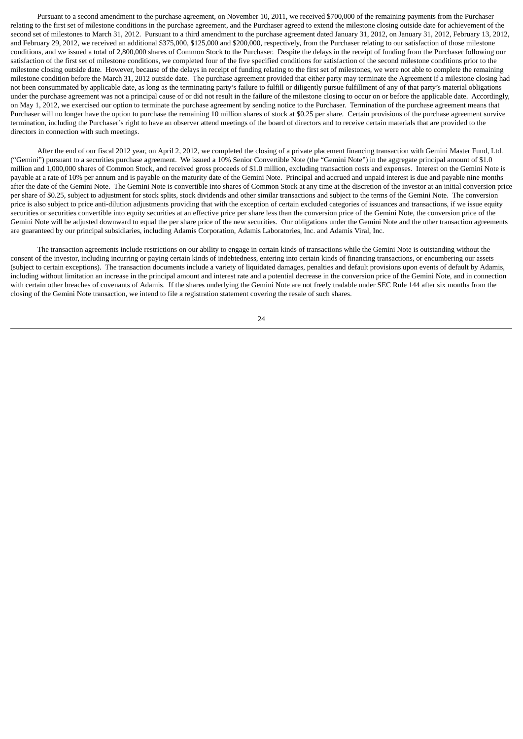Pursuant to a second amendment to the purchase agreement, on November 10, 2011, we received \$700,000 of the remaining payments from the Purchaser relating to the first set of milestone conditions in the purchase agreement, and the Purchaser agreed to extend the milestone closing outside date for achievement of the second set of milestones to March 31, 2012. Pursuant to a third amendment to the purchase agreement dated January 31, 2012, on January 31, 2012, February 13, 2012, and February 29, 2012, we received an additional \$375,000, \$125,000 and \$200,000, respectively, from the Purchaser relating to our satisfaction of those milestone conditions, and we issued a total of 2,800,000 shares of Common Stock to the Purchaser. Despite the delays in the receipt of funding from the Purchaser following our satisfaction of the first set of milestone conditions, we completed four of the five specified conditions for satisfaction of the second milestone conditions prior to the milestone closing outside date. However, because of the delays in receipt of funding relating to the first set of milestones, we were not able to complete the remaining milestone condition before the March 31, 2012 outside date. The purchase agreement provided that either party may terminate the Agreement if a milestone closing had not been consummated by applicable date, as long as the terminating party's failure to fulfill or diligently pursue fulfillment of any of that party's material obligations under the purchase agreement was not a principal cause of or did not result in the failure of the milestone closing to occur on or before the applicable date. Accordingly, on May 1, 2012, we exercised our option to terminate the purchase agreement by sending notice to the Purchaser. Termination of the purchase agreement means that Purchaser will no longer have the option to purchase the remaining 10 million shares of stock at \$0.25 per share. Certain provisions of the purchase agreement survive termination, including the Purchaser's right to have an observer attend meetings of the board of directors and to receive certain materials that are provided to the directors in connection with such meetings.

After the end of our fiscal 2012 year, on April 2, 2012, we completed the closing of a private placement financing transaction with Gemini Master Fund, Ltd. ("Gemini") pursuant to a securities purchase agreement. We issued a 10% Senior Convertible Note (the "Gemini Note") in the aggregate principal amount of \$1.0 million and 1,000,000 shares of Common Stock, and received gross proceeds of \$1.0 million, excluding transaction costs and expenses. Interest on the Gemini Note is payable at a rate of 10% per annum and is payable on the maturity date of the Gemini Note. Principal and accrued and unpaid interest is due and payable nine months after the date of the Gemini Note. The Gemini Note is convertible into shares of Common Stock at any time at the discretion of the investor at an initial conversion price per share of \$0.25, subject to adjustment for stock splits, stock dividends and other similar transactions and subject to the terms of the Gemini Note. The conversion price is also subject to price anti-dilution adjustments providing that with the exception of certain excluded categories of issuances and transactions, if we issue equity securities or securities convertible into equity securities at an effective price per share less than the conversion price of the Gemini Note, the conversion price of the Gemini Note will be adjusted downward to equal the per share price of the new securities. Our obligations under the Gemini Note and the other transaction agreements are guaranteed by our principal subsidiaries, including Adamis Corporation, Adamis Laboratories, Inc. and Adamis Viral, Inc.

The transaction agreements include restrictions on our ability to engage in certain kinds of transactions while the Gemini Note is outstanding without the consent of the investor, including incurring or paying certain kinds of indebtedness, entering into certain kinds of financing transactions, or encumbering our assets (subject to certain exceptions). The transaction documents include a variety of liquidated damages, penalties and default provisions upon events of default by Adamis, including without limitation an increase in the principal amount and interest rate and a potential decrease in the conversion price of the Gemini Note, and in connection with certain other breaches of covenants of Adamis. If the shares underlying the Gemini Note are not freely tradable under SEC Rule 144 after six months from the closing of the Gemini Note transaction, we intend to file a registration statement covering the resale of such shares.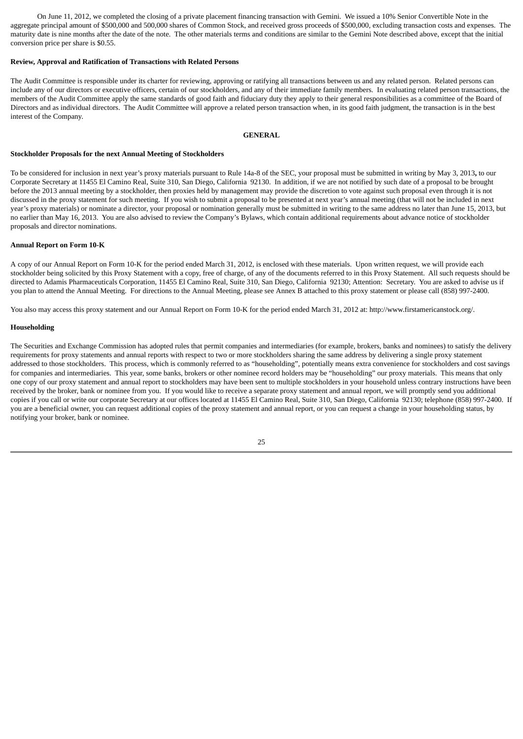On June 11, 2012, we completed the closing of a private placement financing transaction with Gemini. We issued a 10% Senior Convertible Note in the aggregate principal amount of \$500,000 and 500,000 shares of Common Stock, and received gross proceeds of \$500,000, excluding transaction costs and expenses. The maturity date is nine months after the date of the note. The other materials terms and conditions are similar to the Gemini Note described above, except that the initial conversion price per share is \$0.55.

## **Review, Approval and Ratification of Transactions with Related Persons**

The Audit Committee is responsible under its charter for reviewing, approving or ratifying all transactions between us and any related person. Related persons can include any of our directors or executive officers, certain of our stockholders, and any of their immediate family members. In evaluating related person transactions, the members of the Audit Committee apply the same standards of good faith and fiduciary duty they apply to their general responsibilities as a committee of the Board of Directors and as individual directors. The Audit Committee will approve a related person transaction when, in its good faith judgment, the transaction is in the best interest of the Company.

#### **GENERAL**

## **Stockholder Proposals for the next Annual Meeting of Stockholders**

To be considered for inclusion in next year's proxy materials pursuant to Rule 14a-8 of the SEC, your proposal must be submitted in writing by May 3, 2013**,** to our Corporate Secretary at 11455 El Camino Real, Suite 310, San Diego, California 92130. In addition, if we are not notified by such date of a proposal to be brought before the 2013 annual meeting by a stockholder, then proxies held by management may provide the discretion to vote against such proposal even through it is not discussed in the proxy statement for such meeting. If you wish to submit a proposal to be presented at next year's annual meeting (that will not be included in next year's proxy materials) or nominate a director, your proposal or nomination generally must be submitted in writing to the same address no later than June 15, 2013, but no earlier than May 16, 2013. You are also advised to review the Company's Bylaws, which contain additional requirements about advance notice of stockholder proposals and director nominations.

## **Annual Report on Form 10-K**

A copy of our Annual Report on Form 10-K for the period ended March 31, 2012, is enclosed with these materials. Upon written request, we will provide each stockholder being solicited by this Proxy Statement with a copy, free of charge, of any of the documents referred to in this Proxy Statement. All such requests should be directed to Adamis Pharmaceuticals Corporation, 11455 El Camino Real, Suite 310, San Diego, California 92130; Attention: Secretary. You are asked to advise us if you plan to attend the Annual Meeting. For directions to the Annual Meeting, please see Annex B attached to this proxy statement or please call (858) 997-2400.

You also may access this proxy statement and our Annual Report on Form 10-K for the period ended March 31, 2012 at: http://www.firstamericanstock.org/.

## **Householding**

The Securities and Exchange Commission has adopted rules that permit companies and intermediaries (for example, brokers, banks and nominees) to satisfy the delivery requirements for proxy statements and annual reports with respect to two or more stockholders sharing the same address by delivering a single proxy statement addressed to those stockholders. This process, which is commonly referred to as "householding", potentially means extra convenience for stockholders and cost savings for companies and intermediaries. This year, some banks, brokers or other nominee record holders may be "householding" our proxy materials. This means that only one copy of our proxy statement and annual report to stockholders may have been sent to multiple stockholders in your household unless contrary instructions have been received by the broker, bank or nominee from you. If you would like to receive a separate proxy statement and annual report, we will promptly send you additional copies if you call or write our corporate Secretary at our offices located at 11455 El Camino Real, Suite 310, San Diego, California 92130; telephone (858) 997-2400. If you are a beneficial owner, you can request additional copies of the proxy statement and annual report, or you can request a change in your householding status, by notifying your broker, bank or nominee.

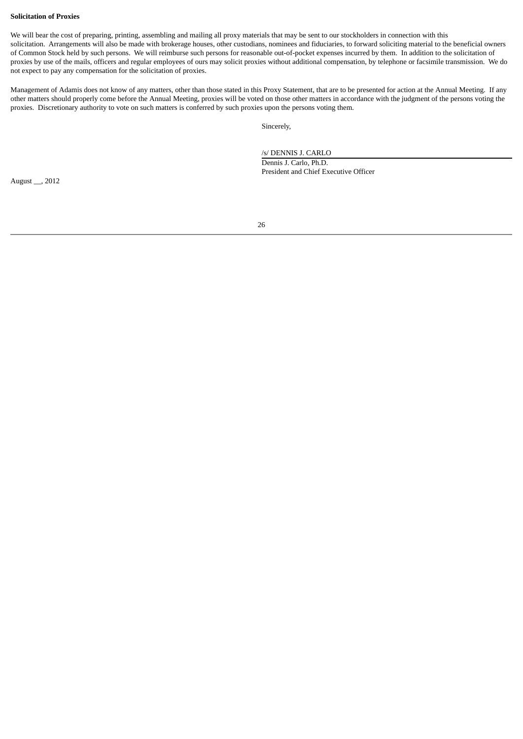#### **Solicitation of Proxies**

We will bear the cost of preparing, printing, assembling and mailing all proxy materials that may be sent to our stockholders in connection with this solicitation. Arrangements will also be made with brokerage houses, other custodians, nominees and fiduciaries, to forward soliciting material to the beneficial owners of Common Stock held by such persons. We will reimburse such persons for reasonable out-of-pocket expenses incurred by them. In addition to the solicitation of proxies by use of the mails, officers and regular employees of ours may solicit proxies without additional compensation, by telephone or facsimile transmission. We do not expect to pay any compensation for the solicitation of proxies.

Management of Adamis does not know of any matters, other than those stated in this Proxy Statement, that are to be presented for action at the Annual Meeting. If any other matters should properly come before the Annual Meeting, proxies will be voted on those other matters in accordance with the judgment of the persons voting the proxies. Discretionary authority to vote on such matters is conferred by such proxies upon the persons voting them.

Sincerely,

/s/ DENNIS J. CARLO

Dennis J. Carlo, Ph.D. President and Chief Executive Officer

August \_\_, 2012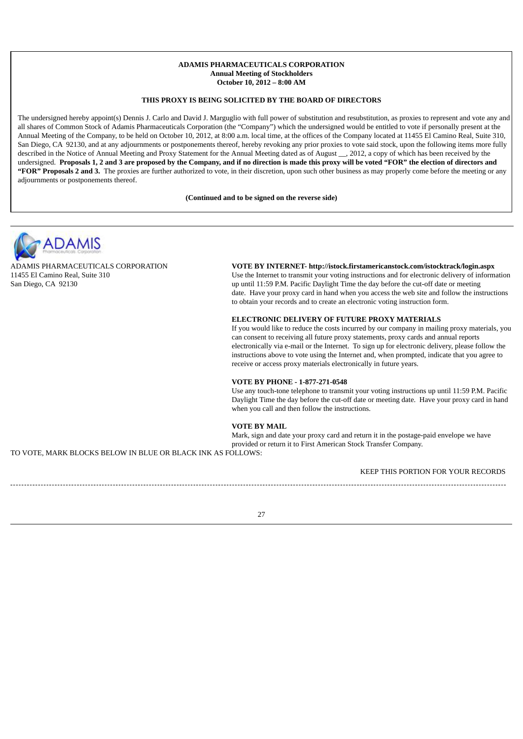## **ADAMIS PHARMACEUTICALS CORPORATION Annual Meeting of Stockholders October 10, 2012 – 8:00 AM**

## **THIS PROXY IS BEING SOLICITED BY THE BOARD OF DIRECTORS**

The undersigned hereby appoint(s) Dennis J. Carlo and David J. Marguglio with full power of substitution and resubstitution, as proxies to represent and vote any and all shares of Common Stock of Adamis Pharmaceuticals Corporation (the "Company") which the undersigned would be entitled to vote if personally present at the Annual Meeting of the Company, to be held on October 10, 2012, at 8:00 a.m. local time, at the offices of the Company located at 11455 El Camino Real, Suite 310, San Diego, CA 92130, and at any adjournments or postponements thereof, hereby revoking any prior proxies to vote said stock, upon the following items more fully described in the Notice of Annual Meeting and Proxy Statement for the Annual Meeting dated as of August \_\_, 2012, a copy of which has been received by the undersigned. Proposals 1, 2 and 3 are proposed by the Company, and if no direction is made this proxy will be voted "FOR" the election of directors and **"FOR" Proposals 2 and 3.** The proxies are further authorized to vote, in their discretion, upon such other business as may properly come before the meeting or any adjournments or postponements thereof.

**(Continued and to be signed on the reverse side)**



ADAMIS PHARMACEUTICALS CORPORATION 11455 El Camino Real, Suite 310 San Diego, CA 92130

**VOTE BY INTERNET- http://istock.firstamericanstock.com/istocktrack/login.aspx** Use the Internet to transmit your voting instructions and for electronic delivery of information up until 11:59 P.M. Pacific Daylight Time the day before the cut-off date or meeting date. Have your proxy card in hand when you access the web site and follow the instructions to obtain your records and to create an electronic voting instruction form.

#### **ELECTRONIC DELIVERY OF FUTURE PROXY MATERIALS**

If you would like to reduce the costs incurred by our company in mailing proxy materials, you can consent to receiving all future proxy statements, proxy cards and annual reports electronically via e-mail or the Internet. To sign up for electronic delivery, please follow the instructions above to vote using the Internet and, when prompted, indicate that you agree to receive or access proxy materials electronically in future years.

## **VOTE BY PHONE - 1-877-271-0548**

Use any touch-tone telephone to transmit your voting instructions up until 11:59 P.M. Pacific Daylight Time the day before the cut-off date or meeting date. Have your proxy card in hand when you call and then follow the instructions.

## **VOTE BY MAIL**

Mark, sign and date your proxy card and return it in the postage-paid envelope we have provided or return it to First American Stock Transfer Company.

TO VOTE, MARK BLOCKS BELOW IN BLUE OR BLACK INK AS FOLLOWS:

KEEP THIS PORTION FOR YOUR RECORDS

27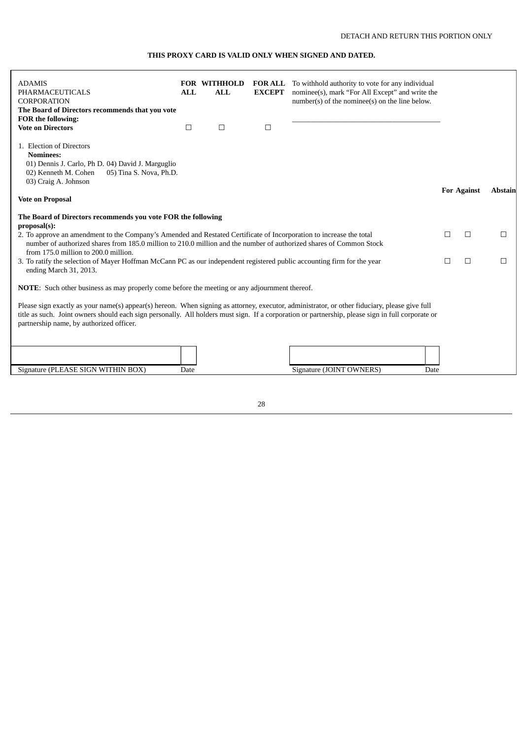## **THIS PROXY CARD IS VALID ONLY WHEN SIGNED AND DATED.**

| <b>ADAMIS</b><br>PHARMACEUTICALS<br><b>CORPORATION</b><br>The Board of Directors recommends that you vote<br>FOR the following:                                                                                                                                                                                                                | <b>ALL</b> | <b>FOR WITHHOLD</b><br><b>ALL</b> | <b>EXCEPT</b> | <b>FOR ALL</b> To withhold authority to vote for any individual<br>nominee(s), mark "For All Except" and write the<br>number(s) of the nominee(s) on the line below. |   |                    |                |  |
|------------------------------------------------------------------------------------------------------------------------------------------------------------------------------------------------------------------------------------------------------------------------------------------------------------------------------------------------|------------|-----------------------------------|---------------|----------------------------------------------------------------------------------------------------------------------------------------------------------------------|---|--------------------|----------------|--|
| <b>Vote on Directors</b>                                                                                                                                                                                                                                                                                                                       | $\Box$     | $\Box$                            | $\Box$        |                                                                                                                                                                      |   |                    |                |  |
| 1. Election of Directors<br><b>Nominees:</b><br>01) Dennis J. Carlo, Ph D. 04) David J. Marguglio<br>02) Kenneth M. Cohen<br>05) Tina S. Nova, Ph.D.<br>03) Craig A. Johnson                                                                                                                                                                   |            |                                   |               |                                                                                                                                                                      |   |                    | <b>Abstain</b> |  |
| <b>Vote on Proposal</b>                                                                                                                                                                                                                                                                                                                        |            |                                   |               |                                                                                                                                                                      |   | <b>For Against</b> |                |  |
| The Board of Directors recommends you vote FOR the following<br>proposal(s):                                                                                                                                                                                                                                                                   |            |                                   |               |                                                                                                                                                                      |   |                    |                |  |
| 2. To approve an amendment to the Company's Amended and Restated Certificate of Incorporation to increase the total<br>number of authorized shares from 185.0 million to 210.0 million and the number of authorized shares of Common Stock<br>from 175.0 million to 200.0 million.                                                             |            | $\perp$                           | $\Box$        | □                                                                                                                                                                    |   |                    |                |  |
| 3. To ratify the selection of Mayer Hoffman McCann PC as our independent registered public accounting firm for the year<br>ending March 31, 2013.                                                                                                                                                                                              |            |                                   |               |                                                                                                                                                                      | П | $\Box$             | □              |  |
| <b>NOTE:</b> Such other business as may properly come before the meeting or any adjournment thereof.                                                                                                                                                                                                                                           |            |                                   |               |                                                                                                                                                                      |   |                    |                |  |
| Please sign exactly as your name(s) appear(s) hereon. When signing as attorney, executor, administrator, or other fiduciary, please give full<br>title as such. Joint owners should each sign personally. All holders must sign. If a corporation or partnership, please sign in full corporate or<br>partnership name, by authorized officer. |            |                                   |               |                                                                                                                                                                      |   |                    |                |  |
|                                                                                                                                                                                                                                                                                                                                                |            |                                   |               |                                                                                                                                                                      |   |                    |                |  |
| Signature (PLEASE SIGN WITHIN BOX)                                                                                                                                                                                                                                                                                                             | Date       |                                   |               | Signature (JOINT OWNERS)<br>Date                                                                                                                                     |   |                    |                |  |

28

 $\overline{\Box}$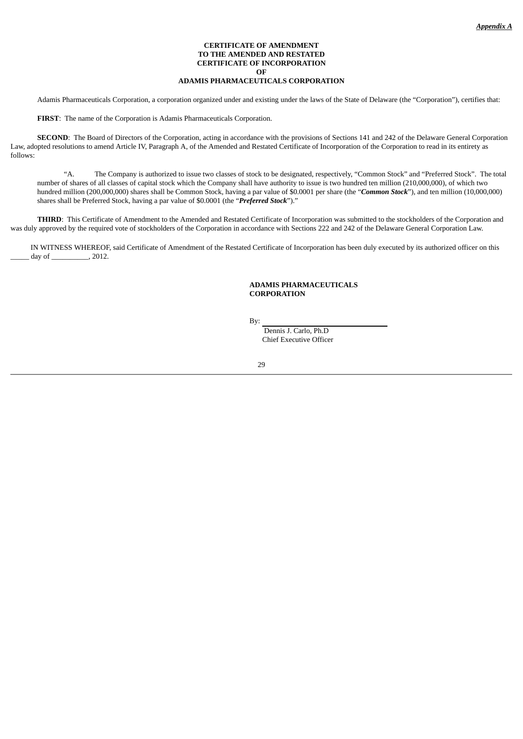## **CERTIFICATE OF AMENDMENT TO THE AMENDED AND RESTATED CERTIFICATE OF INCORPORATION OF ADAMIS PHARMACEUTICALS CORPORATION**

Adamis Pharmaceuticals Corporation, a corporation organized under and existing under the laws of the State of Delaware (the "Corporation"), certifies that:

**FIRST**: The name of the Corporation is Adamis Pharmaceuticals Corporation.

**SECOND**: The Board of Directors of the Corporation, acting in accordance with the provisions of Sections 141 and 242 of the Delaware General Corporation Law, adopted resolutions to amend Article IV, Paragraph A, of the Amended and Restated Certificate of Incorporation of the Corporation to read in its entirety as follows:

"A. The Company is authorized to issue two classes of stock to be designated, respectively, "Common Stock" and "Preferred Stock". The total number of shares of all classes of capital stock which the Company shall have authority to issue is two hundred ten million (210,000,000), of which two hundred million (200,000,000) shares shall be Common Stock, having a par value of \$0.0001 per share (the "*Common Stock*"), and ten million (10,000,000) shares shall be Preferred Stock, having a par value of \$0.0001 (the "*Preferred Stock*")."

**THIRD**: This Certificate of Amendment to the Amended and Restated Certificate of Incorporation was submitted to the stockholders of the Corporation and was duly approved by the required vote of stockholders of the Corporation in accordance with Sections 222 and 242 of the Delaware General Corporation Law.

IN WITNESS WHEREOF, said Certificate of Amendment of the Restated Certificate of Incorporation has been duly executed by its authorized officer on this day of  $\qquad \qquad$  , 2012.

## **ADAMIS PHARMACEUTICALS CORPORATION**

By:

Dennis J. Carlo, Ph.D Chief Executive Officer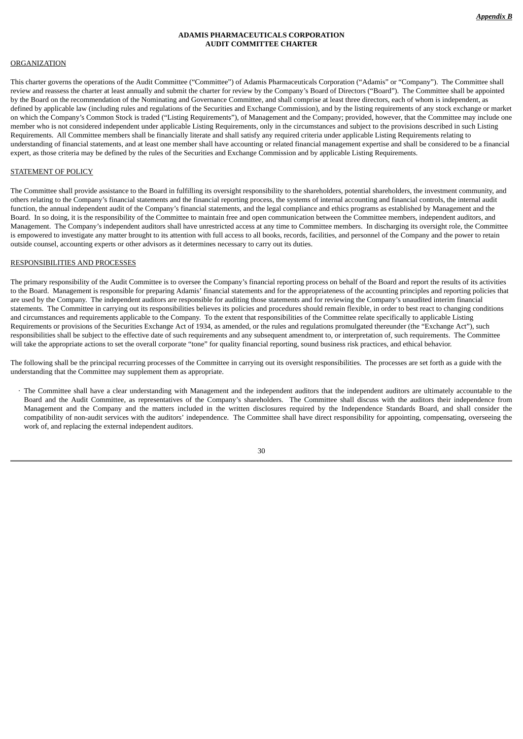## **ADAMIS PHARMACEUTICALS CORPORATION AUDIT COMMITTEE CHARTER**

#### **ORGANIZATION**

This charter governs the operations of the Audit Committee ("Committee") of Adamis Pharmaceuticals Corporation ("Adamis" or "Company"). The Committee shall review and reassess the charter at least annually and submit the charter for review by the Company's Board of Directors ("Board"). The Committee shall be appointed by the Board on the recommendation of the Nominating and Governance Committee, and shall comprise at least three directors, each of whom is independent, as defined by applicable law (including rules and regulations of the Securities and Exchange Commission), and by the listing requirements of any stock exchange or market on which the Company's Common Stock is traded ("Listing Requirements"), of Management and the Company; provided, however, that the Committee may include one member who is not considered independent under applicable Listing Requirements, only in the circumstances and subject to the provisions described in such Listing Requirements. All Committee members shall be financially literate and shall satisfy any required criteria under applicable Listing Requirements relating to understanding of financial statements, and at least one member shall have accounting or related financial management expertise and shall be considered to be a financial expert, as those criteria may be defined by the rules of the Securities and Exchange Commission and by applicable Listing Requirements.

#### STATEMENT OF POLICY

The Committee shall provide assistance to the Board in fulfilling its oversight responsibility to the shareholders, potential shareholders, the investment community, and others relating to the Company's financial statements and the financial reporting process, the systems of internal accounting and financial controls, the internal audit function, the annual independent audit of the Company's financial statements, and the legal compliance and ethics programs as established by Management and the Board. In so doing, it is the responsibility of the Committee to maintain free and open communication between the Committee members, independent auditors, and Management. The Company's independent auditors shall have unrestricted access at any time to Committee members. In discharging its oversight role, the Committee is empowered to investigate any matter brought to its attention with full access to all books, records, facilities, and personnel of the Company and the power to retain outside counsel, accounting experts or other advisors as it determines necessary to carry out its duties.

#### RESPONSIBILITIES AND PROCESSES

The primary responsibility of the Audit Committee is to oversee the Company's financial reporting process on behalf of the Board and report the results of its activities to the Board. Management is responsible for preparing Adamis' financial statements and for the appropriateness of the accounting principles and reporting policies that are used by the Company. The independent auditors are responsible for auditing those statements and for reviewing the Company's unaudited interim financial statements. The Committee in carrying out its responsibilities believes its policies and procedures should remain flexible, in order to best react to changing conditions and circumstances and requirements applicable to the Company. To the extent that responsibilities of the Committee relate specifically to applicable Listing Requirements or provisions of the Securities Exchange Act of 1934, as amended, or the rules and regulations promulgated thereunder (the "Exchange Act"), such responsibilities shall be subject to the effective date of such requirements and any subsequent amendment to, or interpretation of, such requirements. The Committee will take the appropriate actions to set the overall corporate "tone" for quality financial reporting, sound business risk practices, and ethical behavior.

The following shall be the principal recurring processes of the Committee in carrying out its oversight responsibilities. The processes are set forth as a guide with the understanding that the Committee may supplement them as appropriate.

· The Committee shall have a clear understanding with Management and the independent auditors that the independent auditors are ultimately accountable to the Board and the Audit Committee, as representatives of the Company's shareholders. The Committee shall discuss with the auditors their independence from Management and the Company and the matters included in the written disclosures required by the Independence Standards Board, and shall consider the compatibility of non-audit services with the auditors' independence. The Committee shall have direct responsibility for appointing, compensating, overseeing the work of, and replacing the external independent auditors.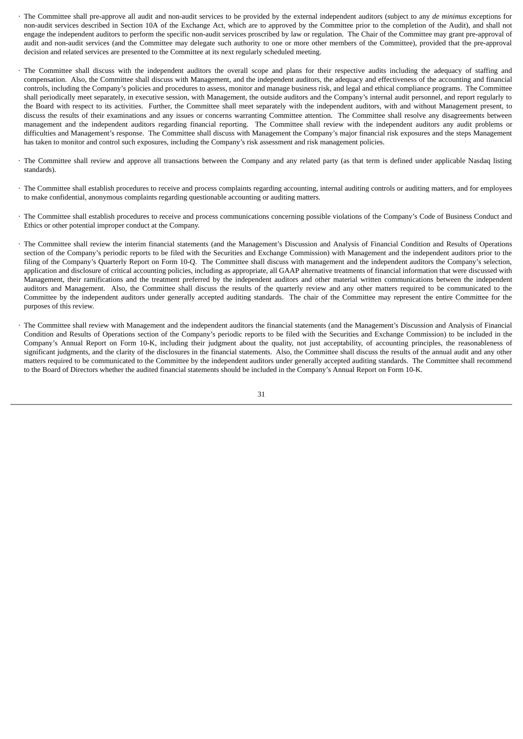- · The Committee shall pre-approve all audit and non-audit services to be provided by the external independent auditors (subject to any *de minimus* exceptions for non-audit services described in Section 10A of the Exchange Act, which are to approved by the Committee prior to the completion of the Audit), and shall not engage the independent auditors to perform the specific non-audit services proscribed by law or regulation. The Chair of the Committee may grant pre-approval of audit and non-audit services (and the Committee may delegate such authority to one or more other members of the Committee), provided that the pre-approval decision and related services are presented to the Committee at its next regularly scheduled meeting.
- · The Committee shall discuss with the independent auditors the overall scope and plans for their respective audits including the adequacy of staffing and compensation. Also, the Committee shall discuss with Management, and the independent auditors, the adequacy and effectiveness of the accounting and financial controls, including the Company's policies and procedures to assess, monitor and manage business risk, and legal and ethical compliance programs. The Committee shall periodically meet separately, in executive session, with Management, the outside auditors and the Company's internal audit personnel, and report regularly to the Board with respect to its activities. Further, the Committee shall meet separately with the independent auditors, with and without Management present, to discuss the results of their examinations and any issues or concerns warranting Committee attention. The Committee shall resolve any disagreements between management and the independent auditors regarding financial reporting. The Committee shall review with the independent auditors any audit problems or difficulties and Management's response. The Committee shall discuss with Management the Company's major financial risk exposures and the steps Management has taken to monitor and control such exposures, including the Company's risk assessment and risk management policies.
- · The Committee shall review and approve all transactions between the Company and any related party (as that term is defined under applicable Nasdaq listing standards).
- · The Committee shall establish procedures to receive and process complaints regarding accounting, internal auditing controls or auditing matters, and for employees to make confidential, anonymous complaints regarding questionable accounting or auditing matters.
- The Committee shall establish procedures to receive and process communications concerning possible violations of the Company's Code of Business Conduct and Ethics or other potential improper conduct at the Company.
- · The Committee shall review the interim financial statements (and the Management's Discussion and Analysis of Financial Condition and Results of Operations section of the Company's periodic reports to be filed with the Securities and Exchange Commission) with Management and the independent auditors prior to the filing of the Company's Quarterly Report on Form 10-Q. The Committee shall discuss with management and the independent auditors the Company's selection, application and disclosure of critical accounting policies, including as appropriate, all GAAP alternative treatments of financial information that were discussed with Management, their ramifications and the treatment preferred by the independent auditors and other material written communications between the independent auditors and Management. Also, the Committee shall discuss the results of the quarterly review and any other matters required to be communicated to the Committee by the independent auditors under generally accepted auditing standards. The chair of the Committee may represent the entire Committee for the purposes of this review.
- · The Committee shall review with Management and the independent auditors the financial statements (and the Management's Discussion and Analysis of Financial Condition and Results of Operations section of the Company's periodic reports to be filed with the Securities and Exchange Commission) to be included in the Company's Annual Report on Form 10-K, including their judgment about the quality, not just acceptability, of accounting principles, the reasonableness of significant judgments, and the clarity of the disclosures in the financial statements. Also, the Committee shall discuss the results of the annual audit and any other matters required to be communicated to the Committee by the independent auditors under generally accepted auditing standards. The Committee shall recommend to the Board of Directors whether the audited financial statements should be included in the Company's Annual Report on Form 10-K.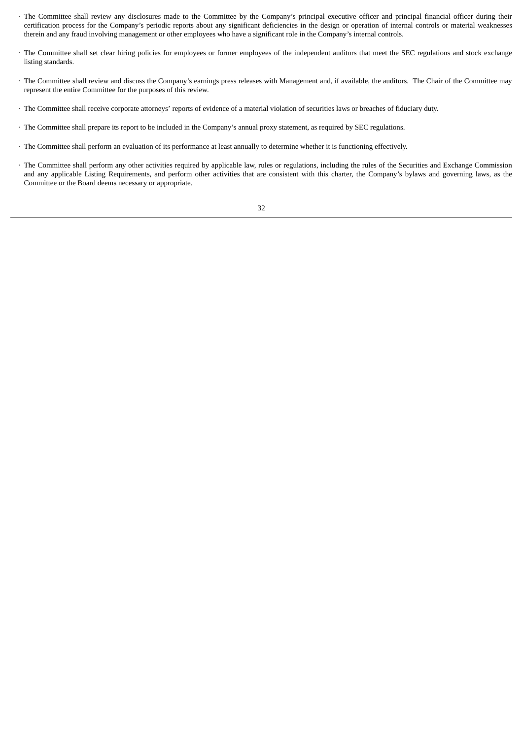- · The Committee shall review any disclosures made to the Committee by the Company's principal executive officer and principal financial officer during their certification process for the Company's periodic reports about any significant deficiencies in the design or operation of internal controls or material weaknesses therein and any fraud involving management or other employees who have a significant role in the Company's internal controls.
- · The Committee shall set clear hiring policies for employees or former employees of the independent auditors that meet the SEC regulations and stock exchange listing standards.
- · The Committee shall review and discuss the Company's earnings press releases with Management and, if available, the auditors. The Chair of the Committee may represent the entire Committee for the purposes of this review.
- · The Committee shall receive corporate attorneys' reports of evidence of a material violation of securities laws or breaches of fiduciary duty.
- · The Committee shall prepare its report to be included in the Company's annual proxy statement, as required by SEC regulations.
- · The Committee shall perform an evaluation of its performance at least annually to determine whether it is functioning effectively.
- · The Committee shall perform any other activities required by applicable law, rules or regulations, including the rules of the Securities and Exchange Commission and any applicable Listing Requirements, and perform other activities that are consistent with this charter, the Company's bylaws and governing laws, as the Committee or the Board deems necessary or appropriate.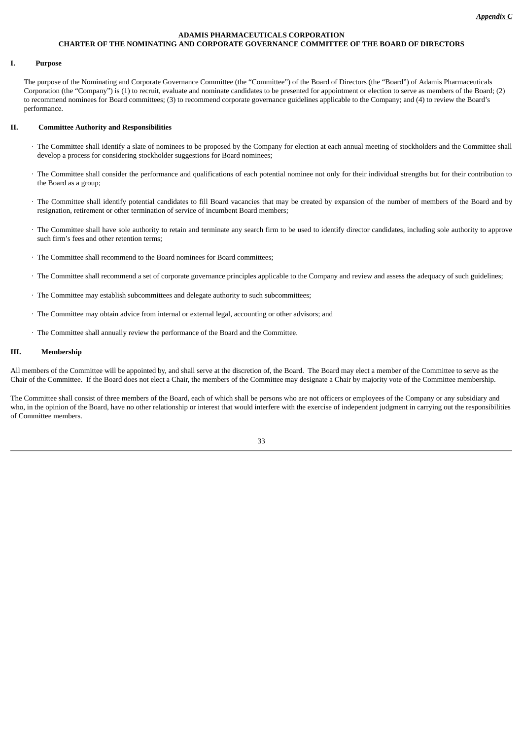## **ADAMIS PHARMACEUTICALS CORPORATION CHARTER OF THE NOMINATING AND CORPORATE GOVERNANCE COMMITTEE OF THE BOARD OF DIRECTORS**

## **I. Purpose**

The purpose of the Nominating and Corporate Governance Committee (the "Committee") of the Board of Directors (the "Board") of Adamis Pharmaceuticals Corporation (the "Company") is (1) to recruit, evaluate and nominate candidates to be presented for appointment or election to serve as members of the Board; (2) to recommend nominees for Board committees; (3) to recommend corporate governance guidelines applicable to the Company; and (4) to review the Board's performance.

#### **II. Committee Authority and Responsibilities**

- · The Committee shall identify a slate of nominees to be proposed by the Company for election at each annual meeting of stockholders and the Committee shall develop a process for considering stockholder suggestions for Board nominees;
- · The Committee shall consider the performance and qualifications of each potential nominee not only for their individual strengths but for their contribution to the Board as a group;
- · The Committee shall identify potential candidates to fill Board vacancies that may be created by expansion of the number of members of the Board and by resignation, retirement or other termination of service of incumbent Board members;
- · The Committee shall have sole authority to retain and terminate any search firm to be used to identify director candidates, including sole authority to approve such firm's fees and other retention terms;
- · The Committee shall recommend to the Board nominees for Board committees;
- · The Committee shall recommend a set of corporate governance principles applicable to the Company and review and assess the adequacy of such guidelines;
- · The Committee may establish subcommittees and delegate authority to such subcommittees;
- · The Committee may obtain advice from internal or external legal, accounting or other advisors; and
- · The Committee shall annually review the performance of the Board and the Committee.

## **III. Membership**

All members of the Committee will be appointed by, and shall serve at the discretion of, the Board. The Board may elect a member of the Committee to serve as the Chair of the Committee. If the Board does not elect a Chair, the members of the Committee may designate a Chair by majority vote of the Committee membership.

The Committee shall consist of three members of the Board, each of which shall be persons who are not officers or employees of the Company or any subsidiary and who, in the opinion of the Board, have no other relationship or interest that would interfere with the exercise of independent judgment in carrying out the responsibilities of Committee members.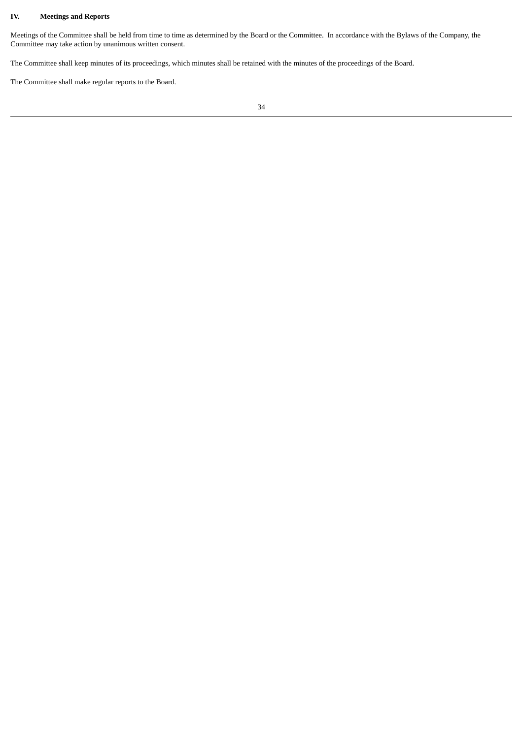## **IV. Meetings and Reports**

Meetings of the Committee shall be held from time to time as determined by the Board or the Committee. In accordance with the Bylaws of the Company, the Committee may take action by unanimous written consent.

The Committee shall keep minutes of its proceedings, which minutes shall be retained with the minutes of the proceedings of the Board.

The Committee shall make regular reports to the Board.